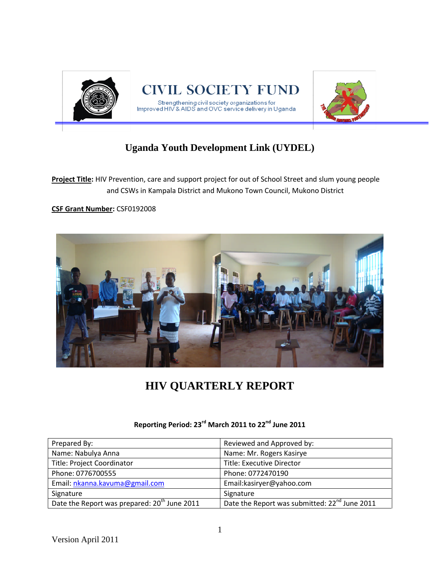

# **Uganda Youth Development Link (UYDEL)**

**Project Title:** HIV Prevention, care and support project for out of School Street and slum young people and CSWs in Kampala District and Mukono Town Council, Mukono District

### **CSF Grant Number:** CSF0192008



# **HIV QUARTERLY REPORT**

| Prepared By:                                             | Reviewed and Approved by:                                 |
|----------------------------------------------------------|-----------------------------------------------------------|
| Name: Nabulya Anna                                       | Name: Mr. Rogers Kasirye                                  |
| Title: Project Coordinator                               | <b>Title: Executive Director</b>                          |
| Phone: 0776700555                                        | Phone: 0772470190                                         |
| Email: nkanna.kavuma@gmail.com                           | Email:kasiryer@yahoo.com                                  |
| Signature                                                | Signature                                                 |
| Date the Report was prepared: 20 <sup>th</sup> June 2011 | Date the Report was submitted: 22 <sup>nd</sup> June 2011 |

# **Reporting Period: 23rd March 2011 to 22nd June 2011**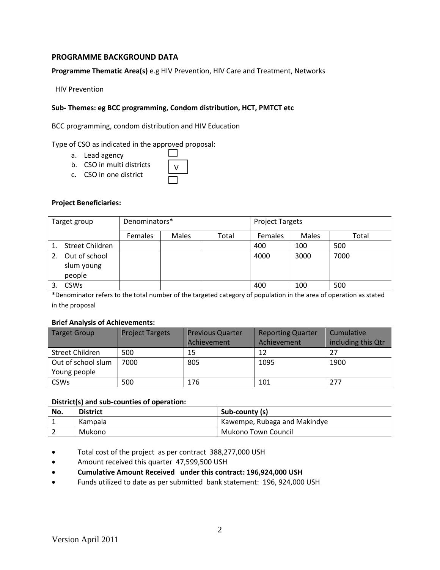### **PROGRAMME BACKGROUND DATA**

**Programme Thematic Area(s)** e.g HIV Prevention, HIV Care and Treatment, Networks

HIV Prevention

#### **Sub- Themes: eg BCC programming, Condom distribution, HCT, PMTCT etc**

V

 $\mathbf{I}$ 

BCC programming, condom distribution and HIV Education

#### Type of CSO as indicated in the approved proposal:

- a. Lead agency
- b. CSO in multi districts
- c. CSO in one district

#### **Project Beneficiaries:**

| Target group                          | Denominators*  |       |       | <b>Project Targets</b> |       |       |  |  |  |
|---------------------------------------|----------------|-------|-------|------------------------|-------|-------|--|--|--|
|                                       | <b>Females</b> | Males | Total | <b>Females</b>         | Males | Total |  |  |  |
| Street Children                       |                |       |       | 400                    | 100   | 500   |  |  |  |
| Out of school<br>slum young<br>people |                |       |       | 4000                   | 3000  | 7000  |  |  |  |
| <b>CSWs</b>                           |                |       |       | 400                    | 100   | 500   |  |  |  |

\*Denominator refers to the total number of the targeted category of population in the area of operation as stated in the proposal

#### **Brief Analysis of Achievements:**

| <b>Target Group</b> | <b>Project Targets</b> | <b>Previous Quarter</b> | <b>Reporting Quarter</b> | Cumulative         |  |  |  |
|---------------------|------------------------|-------------------------|--------------------------|--------------------|--|--|--|
|                     |                        | <b>Achievement</b>      | Achievement              | including this Qtr |  |  |  |
| Street Children     | 500                    | 15                      | 12                       | 27                 |  |  |  |
| Out of school slum  | 7000                   | 805                     | 1095                     | 1900               |  |  |  |
| Young people        |                        |                         |                          |                    |  |  |  |
| <b>CSWs</b>         | 500                    | 176                     | 101                      | 277                |  |  |  |

#### **District(s) and sub-counties of operation:**

| No. | <b>District</b> | Sub-county (s)               |
|-----|-----------------|------------------------------|
|     | Kampala         | Kawempe, Rubaga and Makindye |
|     | Mukono          | Mukono Town Council          |

- Total cost of the project as per contract 388,277,000 USH
- Amount received this quarter 47,599,500 USH
- **Cumulative Amount Received under this contract: 196,924,000 USH**
- Funds utilized to date as per submitted bank statement: 196, 924,000 USH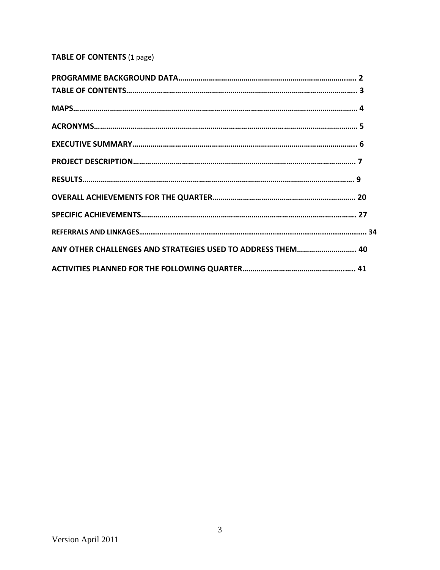# **TABLE OF CONTENTS** (1 page)

| ANY OTHER CHALLENGES AND STRATEGIES USED TO ADDRESS THEM 40 |  |
|-------------------------------------------------------------|--|
|                                                             |  |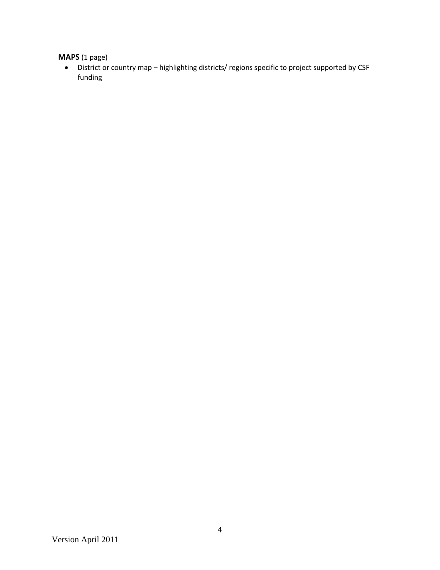# **MAPS** (1 page)

 District or country map – highlighting districts/ regions specific to project supported by CSF funding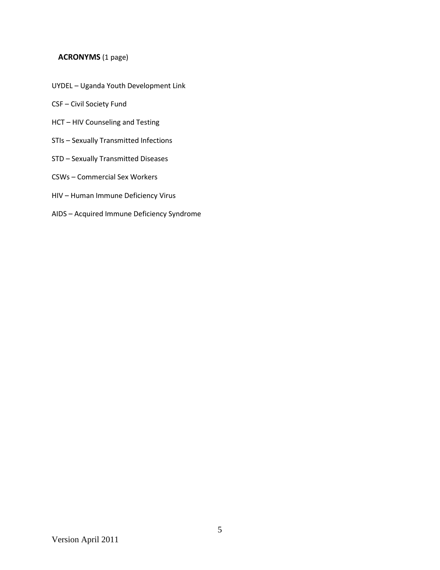### **ACRONYMS** (1 page)

- UYDEL Uganda Youth Development Link
- CSF Civil Society Fund
- HCT HIV Counseling and Testing
- STIs Sexually Transmitted Infections
- STD Sexually Transmitted Diseases
- CSWs Commercial Sex Workers
- HIV Human Immune Deficiency Virus
- AIDS Acquired Immune Deficiency Syndrome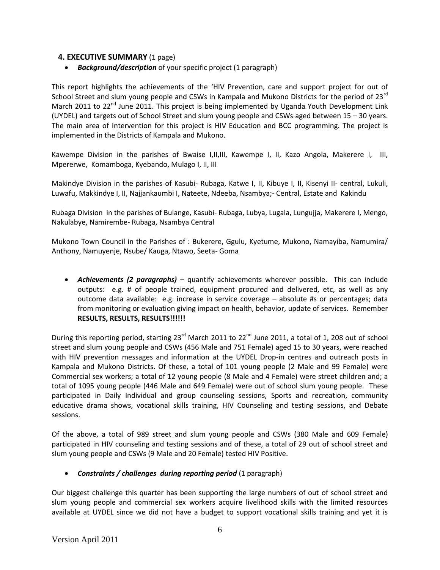### **4. EXECUTIVE SUMMARY** (1 page)

*Background/description* of your specific project (1 paragraph)

This report highlights the achievements of the 'HIV Prevention, care and support project for out of School Street and slum young people and CSWs in Kampala and Mukono Districts for the period of 23<sup>rd</sup> March 2011 to 22<sup>nd</sup> June 2011. This project is being implemented by Uganda Youth Development Link (UYDEL) and targets out of School Street and slum young people and CSWs aged between 15 – 30 years. The main area of Intervention for this project is HIV Education and BCC programming. The project is implemented in the Districts of Kampala and Mukono.

Kawempe Division in the parishes of Bwaise I,II,III, Kawempe I, II, Kazo Angola, Makerere I, III, Mpererwe, Komamboga, Kyebando, Mulago I, II, III

Makindye Division in the parishes of Kasubi- Rubaga, Katwe I, II, Kibuye I, II, Kisenyi II- central, Lukuli, Luwafu, Makkindye I, II, Najjankaumbi I, Nateete, Ndeeba, Nsambya;- Central, Estate and Kakindu

Rubaga Division in the parishes of Bulange, Kasubi- Rubaga, Lubya, Lugala, Lungujja, Makerere I, Mengo, Nakulabye, Namirembe- Rubaga, Nsambya Central

Mukono Town Council in the Parishes of : Bukerere, Ggulu, Kyetume, Mukono, Namayiba, Namumira/ Anthony, Namuyenje, Nsube/ Kauga, Ntawo, Seeta- Goma

 *Achievements (2 paragraphs)* – quantify achievements wherever possible. This can include outputs: e.g. # of people trained, equipment procured and delivered, etc, as well as any outcome data available: e.g. increase in service coverage – absolute #s or percentages; data from monitoring or evaluation giving impact on health, behavior, update of services. Remember **RESULTS, RESULTS, RESULTS!!!!!!**

During this reporting period, starting 23<sup>rd</sup> March 2011 to 22<sup>nd</sup> June 2011, a total of 1, 208 out of school street and slum young people and CSWs (456 Male and 751 Female) aged 15 to 30 years, were reached with HIV prevention messages and information at the UYDEL Drop-in centres and outreach posts in Kampala and Mukono Districts. Of these, a total of 101 young people (2 Male and 99 Female) were Commercial sex workers; a total of 12 young people (8 Male and 4 Female) were street children and; a total of 1095 young people (446 Male and 649 Female) were out of school slum young people. These participated in Daily Individual and group counseling sessions, Sports and recreation, community educative drama shows, vocational skills training, HIV Counseling and testing sessions, and Debate sessions.

Of the above, a total of 989 street and slum young people and CSWs (380 Male and 609 Female) participated in HIV counseling and testing sessions and of these, a total of 29 out of school street and slum young people and CSWs (9 Male and 20 Female) tested HIV Positive.

### *Constraints / challenges during reporting period* (1 paragraph)

Our biggest challenge this quarter has been supporting the large numbers of out of school street and slum young people and commercial sex workers acquire livelihood skills with the limited resources available at UYDEL since we did not have a budget to support vocational skills training and yet it is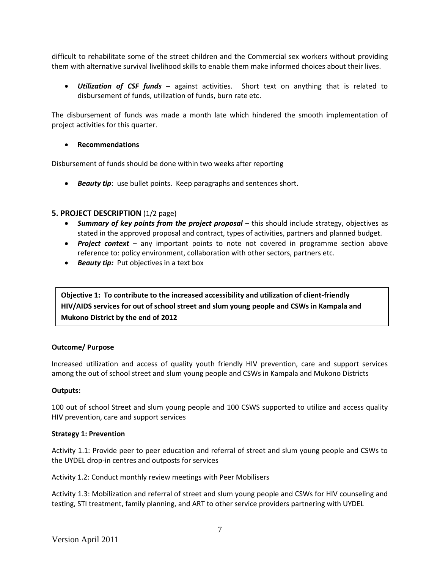difficult to rehabilitate some of the street children and the Commercial sex workers without providing them with alternative survival livelihood skills to enable them make informed choices about their lives.

 *Utilization of CSF funds* – against activities. Short text on anything that is related to disbursement of funds, utilization of funds, burn rate etc.

The disbursement of funds was made a month late which hindered the smooth implementation of project activities for this quarter.

### **Recommendations**

Disbursement of funds should be done within two weeks after reporting

*Beauty tip*: use bullet points. Keep paragraphs and sentences short.

### **5. PROJECT DESCRIPTION** (1/2 page)

- *Summary of key points from the project proposal* this should include strategy, objectives as stated in the approved proposal and contract, types of activities, partners and planned budget.
- *Project context* any important points to note not covered in programme section above reference to: policy environment, collaboration with other sectors, partners etc.
- **Beauty tip:** Put objectives in a text box

**Objective 1: To contribute to the increased accessibility and utilization of client-friendly HIV/AIDS services for out of school street and slum young people and CSWs in Kampala and Mukono District by the end of 2012**

#### **Outcome/ Purpose**

Increased utilization and access of quality youth friendly HIV prevention, care and support services among the out of school street and slum young people and CSWs in Kampala and Mukono Districts

#### **Outputs:**

100 out of school Street and slum young people and 100 CSWS supported to utilize and access quality HIV prevention, care and support services

#### **Strategy 1: Prevention**

Activity 1.1: Provide peer to peer education and referral of street and slum young people and CSWs to the UYDEL drop-in centres and outposts for services

Activity 1.2: Conduct monthly review meetings with Peer Mobilisers

Activity 1.3: Mobilization and referral of street and slum young people and CSWs for HIV counseling and testing, STI treatment, family planning, and ART to other service providers partnering with UYDEL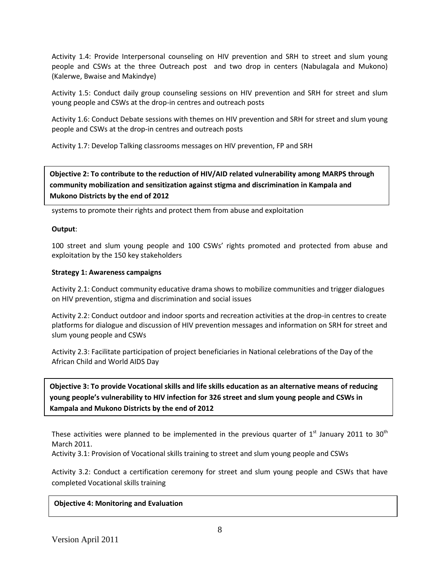Activity 1.4: Provide Interpersonal counseling on HIV prevention and SRH to street and slum young people and CSWs at the three Outreach post and two drop in centers (Nabulagala and Mukono) (Kalerwe, Bwaise and Makindye)

Activity 1.5: Conduct daily group counseling sessions on HIV prevention and SRH for street and slum young people and CSWs at the drop-in centres and outreach posts

Activity 1.6: Conduct Debate sessions with themes on HIV prevention and SRH for street and slum young people and CSWs at the drop-in centres and outreach posts

Activity 1.7: Develop Talking classrooms messages on HIV prevention, FP and SRH

# **community mobilization and sensitization against stigma and discrimination in Kampala and Mukono Districts by the end of 2012 Objective 2: To contribute to the reduction of HIV/AID related vulnerability among MARPS through**

systems to promote their rights and protect them from abuse and exploitation

### **Output**:

100 street and slum young people and 100 CSWs' rights promoted and protected from abuse and exploitation by the 150 key stakeholders

### **Strategy 1: Awareness campaigns**

Activity 2.1: Conduct community educative drama shows to mobilize communities and trigger dialogues on HIV prevention, stigma and discrimination and social issues

Activity 2.2: Conduct outdoor and indoor sports and recreation activities at the drop-in centres to create platforms for dialogue and discussion of HIV prevention messages and information on SRH for street and slum young people and CSWs

Activity 2.3: Facilitate participation of project beneficiaries in National celebrations of the Day of the African Child and World AIDS Day

**Objective 3: To provide Vocational skills and life skills education as an alternative means of reducing young people's vulnerability to HIV infection for 326 street and slum young people and CSWs in Kampala and Mukono Districts by the end of 2012**

These activities were planned to be implemented in the previous quarter of  $1<sup>st</sup>$  January 2011 to 30<sup>th</sup> March 2011.

Activity 3.1: Provision of Vocational skills training to street and slum young people and CSWs

Activity 3.2: Conduct a certification ceremony for street and slum young people and CSWs that have completed Vocational skills training

### **Objective 4: Monitoring and Evaluation**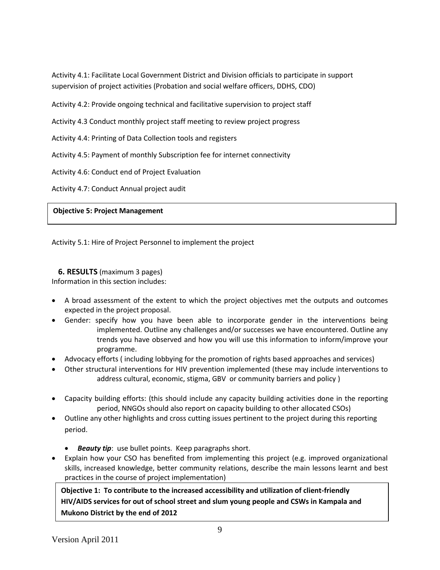Activity 4.1: Facilitate Local Government District and Division officials to participate in support supervision of project activities (Probation and social welfare officers, DDHS, CDO)

Activity 4.2: Provide ongoing technical and facilitative supervision to project staff

Activity 4.3 Conduct monthly project staff meeting to review project progress

Activity 4.4: Printing of Data Collection tools and registers

Activity 4.5: Payment of monthly Subscription fee for internet connectivity

Activity 4.6: Conduct end of Project Evaluation

Activity 4.7: Conduct Annual project audit

### **Objective 5: Project Management**

Activity 5.1: Hire of Project Personnel to implement the project

### **6. RESULTS** (maximum 3 pages)

Information in this section includes:

- A broad assessment of the extent to which the project objectives met the outputs and outcomes expected in the project proposal.
- Gender: specify how you have been able to incorporate gender in the interventions being implemented. Outline any challenges and/or successes we have encountered. Outline any trends you have observed and how you will use this information to inform/improve your programme.
- Advocacy efforts ( including lobbying for the promotion of rights based approaches and services)
- Other structural interventions for HIV prevention implemented (these may include interventions to address cultural, economic, stigma, GBV or community barriers and policy )
- Capacity building efforts: (this should include any capacity building activities done in the reporting period, NNGOs should also report on capacity building to other allocated CSOs)
- Outline any other highlights and cross cutting issues pertinent to the project during this reporting period.
	- *Beauty tip*: use bullet points. Keep paragraphs short.
- Explain how your CSO has benefited from implementing this project (e.g. improved organizational skills, increased knowledge, better community relations, describe the main lessons learnt and best practices in the course of project implementation)

**Objective 1: To contribute to the increased accessibility and utilization of client-friendly HIV/AIDS services for out of school street and slum young people and CSWs in Kampala and Mukono District by the end of 2012**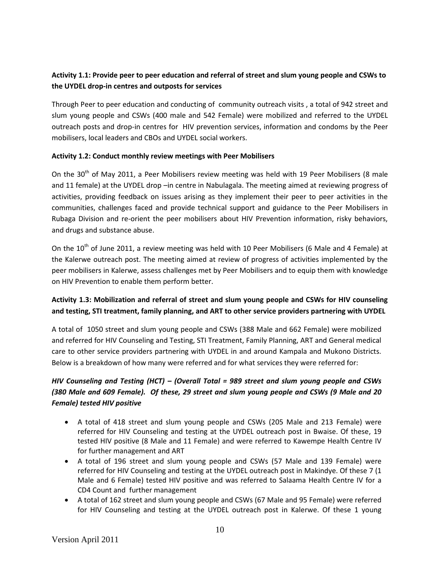# **Activity 1.1: Provide peer to peer education and referral of street and slum young people and CSWs to the UYDEL drop-in centres and outposts for services**

Through Peer to peer education and conducting of community outreach visits , a total of 942 street and slum young people and CSWs (400 male and 542 Female) were mobilized and referred to the UYDEL outreach posts and drop-in centres for HIV prevention services, information and condoms by the Peer mobilisers, local leaders and CBOs and UYDEL social workers.

### **Activity 1.2: Conduct monthly review meetings with Peer Mobilisers**

On the 30<sup>th</sup> of May 2011, a Peer Mobilisers review meeting was held with 19 Peer Mobilisers (8 male and 11 female) at the UYDEL drop –in centre in Nabulagala. The meeting aimed at reviewing progress of activities, providing feedback on issues arising as they implement their peer to peer activities in the communities, challenges faced and provide technical support and guidance to the Peer Mobilisers in Rubaga Division and re-orient the peer mobilisers about HIV Prevention information, risky behaviors, and drugs and substance abuse.

On the 10<sup>th</sup> of June 2011, a review meeting was held with 10 Peer Mobilisers (6 Male and 4 Female) at the Kalerwe outreach post. The meeting aimed at review of progress of activities implemented by the peer mobilisers in Kalerwe, assess challenges met by Peer Mobilisers and to equip them with knowledge on HIV Prevention to enable them perform better.

# **Activity 1.3: Mobilization and referral of street and slum young people and CSWs for HIV counseling and testing, STI treatment, family planning, and ART to other service providers partnering with UYDEL**

A total of 1050 street and slum young people and CSWs (388 Male and 662 Female) were mobilized and referred for HIV Counseling and Testing, STI Treatment, Family Planning, ART and General medical care to other service providers partnering with UYDEL in and around Kampala and Mukono Districts. Below is a breakdown of how many were referred and for what services they were referred for:

# *HIV Counseling and Testing (HCT) – (Overall Total = 989 street and slum young people and CSWs (380 Male and 609 Female). Of these, 29 street and slum young people and CSWs (9 Male and 20 Female) tested HIV positive*

- A total of 418 street and slum young people and CSWs (205 Male and 213 Female) were referred for HIV Counseling and testing at the UYDEL outreach post in Bwaise. Of these, 19 tested HIV positive (8 Male and 11 Female) and were referred to Kawempe Health Centre IV for further management and ART
- A total of 196 street and slum young people and CSWs (57 Male and 139 Female) were referred for HIV Counseling and testing at the UYDEL outreach post in Makindye. Of these 7 (1 Male and 6 Female) tested HIV positive and was referred to Salaama Health Centre IV for a CD4 Count and further management
- A total of 162 street and slum young people and CSWs (67 Male and 95 Female) were referred for HIV Counseling and testing at the UYDEL outreach post in Kalerwe. Of these 1 young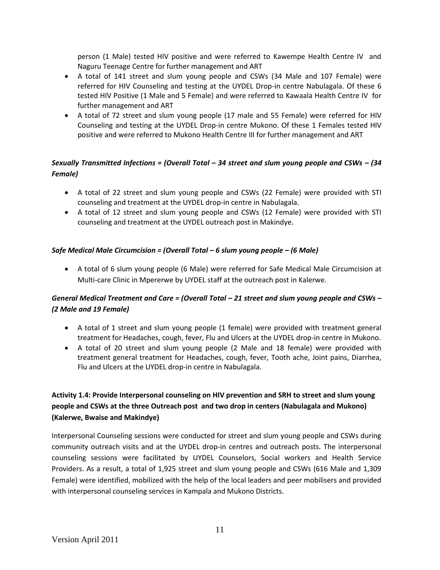person (1 Male) tested HIV positive and were referred to Kawempe Health Centre IV and Naguru Teenage Centre for further management and ART

- A total of 141 street and slum young people and CSWs (34 Male and 107 Female) were referred for HIV Counseling and testing at the UYDEL Drop-in centre Nabulagala. Of these 6 tested HIV Positive (1 Male and 5 Female) and were referred to Kawaala Health Centre IV for further management and ART
- A total of 72 street and slum young people (17 male and 55 Female) were referred for HIV Counseling and testing at the UYDEL Drop-in centre Mukono. Of these 1 Females tested HIV positive and were referred to Mukono Health Centre III for further management and ART

# *Sexually Transmitted Infections = (Overall Total – 34 street and slum young people and CSWs – (34 Female)*

- A total of 22 street and slum young people and CSWs (22 Female) were provided with STI counseling and treatment at the UYDEL drop-in centre in Nabulagala.
- A total of 12 street and slum young people and CSWs (12 Female) were provided with STI counseling and treatment at the UYDEL outreach post in Makindye.

### *Safe Medical Male Circumcision = (Overall Total – 6 slum young people – (6 Male)*

 A total of 6 slum young people (6 Male) were referred for Safe Medical Male Circumcision at Multi-care Clinic in Mpererwe by UYDEL staff at the outreach post in Kalerwe.

# *General Medical Treatment and Care = (Overall Total – 21 street and slum young people and CSWs – (2 Male and 19 Female)*

- A total of 1 street and slum young people (1 female) were provided with treatment general treatment for Headaches, cough, fever, Flu and Ulcers at the UYDEL drop-in centre in Mukono.
- A total of 20 street and slum young people (2 Male and 18 female) were provided with treatment general treatment for Headaches, cough, fever, Tooth ache, Joint pains, Diarrhea, Flu and Ulcers at the UYDEL drop-in centre in Nabulagala.

# **Activity 1.4: Provide Interpersonal counseling on HIV prevention and SRH to street and slum young people and CSWs at the three Outreach post and two drop in centers (Nabulagala and Mukono) (Kalerwe, Bwaise and Makindye)**

Interpersonal Counseling sessions were conducted for street and slum young people and CSWs during community outreach visits and at the UYDEL drop-in centres and outreach posts. The interpersonal counseling sessions were facilitated by UYDEL Counselors, Social workers and Health Service Providers. As a result, a total of 1,925 street and slum young people and CSWs (616 Male and 1,309 Female) were identified, mobilized with the help of the local leaders and peer mobilisers and provided with interpersonal counseling services in Kampala and Mukono Districts.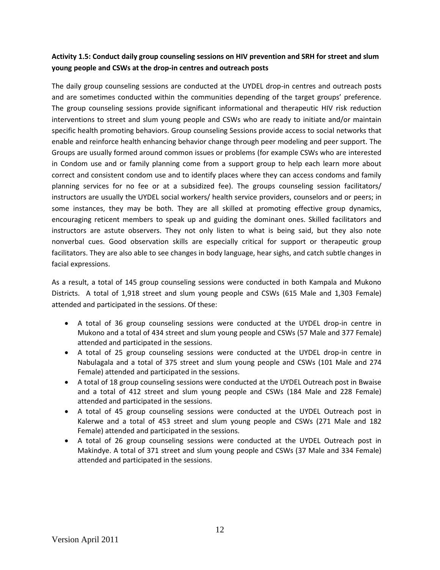# **Activity 1.5: Conduct daily group counseling sessions on HIV prevention and SRH for street and slum young people and CSWs at the drop-in centres and outreach posts**

The daily group counseling sessions are conducted at the UYDEL drop-in centres and outreach posts and are sometimes conducted within the communities depending of the target groups' preference. The group counseling sessions provide significant informational and therapeutic HIV risk reduction interventions to street and slum young people and CSWs who are ready to initiate and/or maintain specific health promoting behaviors. Group counseling Sessions provide access to social networks that enable and reinforce health enhancing behavior change through peer modeling and peer support. The Groups are usually formed around common issues or problems (for example CSWs who are interested in Condom use and or family planning come from a support group to help each learn more about correct and consistent condom use and to identify places where they can access condoms and family planning services for no fee or at a subsidized fee). The groups counseling session facilitators/ instructors are usually the UYDEL social workers/ health service providers, counselors and or peers; in some instances, they may be both. They are all skilled at promoting effective group dynamics, encouraging reticent members to speak up and guiding the dominant ones. Skilled facilitators and instructors are astute observers. They not only listen to what is being said, but they also note nonverbal cues. Good observation skills are especially critical for support or therapeutic group facilitators. They are also able to see changes in body language, hear sighs, and catch subtle changes in facial expressions.

As a result, a total of 145 group counseling sessions were conducted in both Kampala and Mukono Districts. A total of 1,918 street and slum young people and CSWs (615 Male and 1,303 Female) attended and participated in the sessions. Of these:

- A total of 36 group counseling sessions were conducted at the UYDEL drop-in centre in Mukono and a total of 434 street and slum young people and CSWs (57 Male and 377 Female) attended and participated in the sessions.
- A total of 25 group counseling sessions were conducted at the UYDEL drop-in centre in Nabulagala and a total of 375 street and slum young people and CSWs (101 Male and 274 Female) attended and participated in the sessions.
- A total of 18 group counseling sessions were conducted at the UYDEL Outreach post in Bwaise and a total of 412 street and slum young people and CSWs (184 Male and 228 Female) attended and participated in the sessions.
- A total of 45 group counseling sessions were conducted at the UYDEL Outreach post in Kalerwe and a total of 453 street and slum young people and CSWs (271 Male and 182 Female) attended and participated in the sessions.
- A total of 26 group counseling sessions were conducted at the UYDEL Outreach post in Makindye. A total of 371 street and slum young people and CSWs (37 Male and 334 Female) attended and participated in the sessions.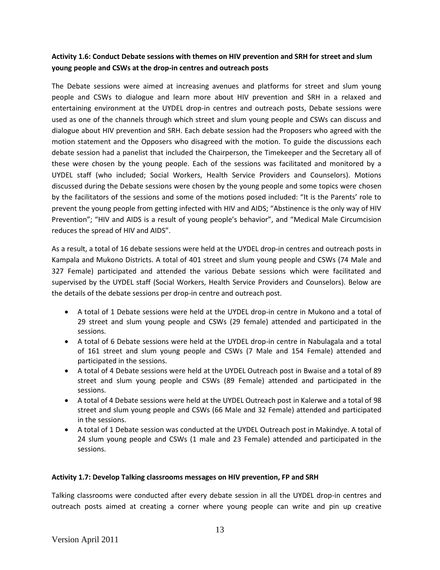### **Activity 1.6: Conduct Debate sessions with themes on HIV prevention and SRH for street and slum young people and CSWs at the drop-in centres and outreach posts**

The Debate sessions were aimed at increasing avenues and platforms for street and slum young people and CSWs to dialogue and learn more about HIV prevention and SRH in a relaxed and entertaining environment at the UYDEL drop-in centres and outreach posts, Debate sessions were used as one of the channels through which street and slum young people and CSWs can discuss and dialogue about HIV prevention and SRH. Each debate session had the Proposers who agreed with the motion statement and the Opposers who disagreed with the motion. To guide the discussions each debate session had a panelist that included the Chairperson, the Timekeeper and the Secretary all of these were chosen by the young people. Each of the sessions was facilitated and monitored by a UYDEL staff (who included; Social Workers, Health Service Providers and Counselors). Motions discussed during the Debate sessions were chosen by the young people and some topics were chosen by the facilitators of the sessions and some of the motions posed included: "It is the Parents' role to prevent the young people from getting infected with HIV and AIDS; "Abstinence is the only way of HIV Prevention"; "HIV and AIDS is a result of young people's behavior", and "Medical Male Circumcision reduces the spread of HIV and AIDS".

As a result, a total of 16 debate sessions were held at the UYDEL drop-in centres and outreach posts in Kampala and Mukono Districts. A total of 401 street and slum young people and CSWs (74 Male and 327 Female) participated and attended the various Debate sessions which were facilitated and supervised by the UYDEL staff (Social Workers, Health Service Providers and Counselors). Below are the details of the debate sessions per drop-in centre and outreach post.

- A total of 1 Debate sessions were held at the UYDEL drop-in centre in Mukono and a total of 29 street and slum young people and CSWs (29 female) attended and participated in the sessions.
- A total of 6 Debate sessions were held at the UYDEL drop-in centre in Nabulagala and a total of 161 street and slum young people and CSWs (7 Male and 154 Female) attended and participated in the sessions.
- A total of 4 Debate sessions were held at the UYDEL Outreach post in Bwaise and a total of 89 street and slum young people and CSWs (89 Female) attended and participated in the sessions.
- A total of 4 Debate sessions were held at the UYDEL Outreach post in Kalerwe and a total of 98 street and slum young people and CSWs (66 Male and 32 Female) attended and participated in the sessions.
- A total of 1 Debate session was conducted at the UYDEL Outreach post in Makindye. A total of 24 slum young people and CSWs (1 male and 23 Female) attended and participated in the sessions.

#### **Activity 1.7: Develop Talking classrooms messages on HIV prevention, FP and SRH**

Talking classrooms were conducted after every debate session in all the UYDEL drop-in centres and outreach posts aimed at creating a corner where young people can write and pin up creative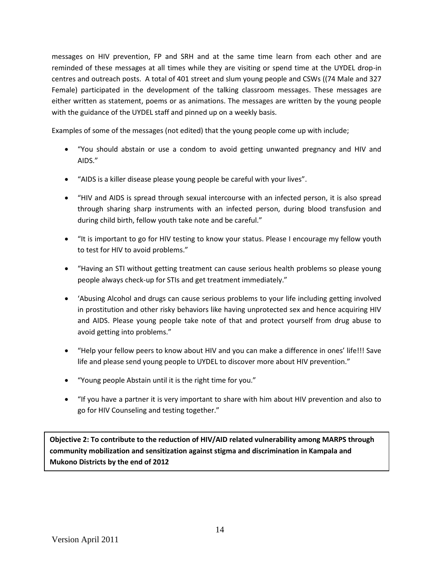messages on HIV prevention, FP and SRH and at the same time learn from each other and are reminded of these messages at all times while they are visiting or spend time at the UYDEL drop-in centres and outreach posts. A total of 401 street and slum young people and CSWs ((74 Male and 327 Female) participated in the development of the talking classroom messages. These messages are either written as statement, poems or as animations. The messages are written by the young people with the guidance of the UYDEL staff and pinned up on a weekly basis.

Examples of some of the messages (not edited) that the young people come up with include;

- "You should abstain or use a condom to avoid getting unwanted pregnancy and HIV and AIDS."
- "AIDS is a killer disease please young people be careful with your lives".
- "HIV and AIDS is spread through sexual intercourse with an infected person, it is also spread through sharing sharp instruments with an infected person, during blood transfusion and during child birth, fellow youth take note and be careful."
- "It is important to go for HIV testing to know your status. Please I encourage my fellow youth to test for HIV to avoid problems."
- "Having an STI without getting treatment can cause serious health problems so please young people always check-up for STIs and get treatment immediately."
- 'Abusing Alcohol and drugs can cause serious problems to your life including getting involved in prostitution and other risky behaviors like having unprotected sex and hence acquiring HIV and AIDS. Please young people take note of that and protect yourself from drug abuse to avoid getting into problems."
- "Help your fellow peers to know about HIV and you can make a difference in ones' life!!! Save life and please send young people to UYDEL to discover more about HIV prevention."
- "Young people Abstain until it is the right time for you."
- "If you have a partner it is very important to share with him about HIV prevention and also to go for HIV Counseling and testing together."

**Objective 2: To contribute to the reduction of HIV/AID related vulnerability among MARPS through community mobilization and sensitization against stigma and discrimination in Kampala and Mukono Districts by the end of 2012**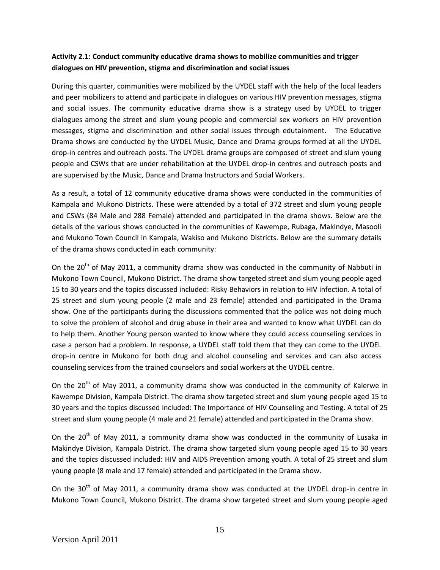## **Activity 2.1: Conduct community educative drama shows to mobilize communities and trigger dialogues on HIV prevention, stigma and discrimination and social issues**

During this quarter, communities were mobilized by the UYDEL staff with the help of the local leaders and peer mobilizers to attend and participate in dialogues on various HIV prevention messages, stigma and social issues. The community educative drama show is a strategy used by UYDEL to trigger dialogues among the street and slum young people and commercial sex workers on HIV prevention messages, stigma and discrimination and other social issues through edutainment. The Educative Drama shows are conducted by the UYDEL Music, Dance and Drama groups formed at all the UYDEL drop-in centres and outreach posts. The UYDEL drama groups are composed of street and slum young people and CSWs that are under rehabilitation at the UYDEL drop-in centres and outreach posts and are supervised by the Music, Dance and Drama Instructors and Social Workers.

As a result, a total of 12 community educative drama shows were conducted in the communities of Kampala and Mukono Districts. These were attended by a total of 372 street and slum young people and CSWs (84 Male and 288 Female) attended and participated in the drama shows. Below are the details of the various shows conducted in the communities of Kawempe, Rubaga, Makindye, Masooli and Mukono Town Council in Kampala, Wakiso and Mukono Districts. Below are the summary details of the drama shows conducted in each community:

On the  $20<sup>th</sup>$  of May 2011, a community drama show was conducted in the community of Nabbuti in Mukono Town Council, Mukono District. The drama show targeted street and slum young people aged 15 to 30 years and the topics discussed included: Risky Behaviors in relation to HIV infection. A total of 25 street and slum young people (2 male and 23 female) attended and participated in the Drama show. One of the participants during the discussions commented that the police was not doing much to solve the problem of alcohol and drug abuse in their area and wanted to know what UYDEL can do to help them. Another Young person wanted to know where they could access counseling services in case a person had a problem. In response, a UYDEL staff told them that they can come to the UYDEL drop-in centre in Mukono for both drug and alcohol counseling and services and can also access counseling services from the trained counselors and social workers at the UYDEL centre.

On the  $20<sup>th</sup>$  of May 2011, a community drama show was conducted in the community of Kalerwe in Kawempe Division, Kampala District. The drama show targeted street and slum young people aged 15 to 30 years and the topics discussed included: The Importance of HIV Counseling and Testing. A total of 25 street and slum young people (4 male and 21 female) attended and participated in the Drama show.

On the 20<sup>th</sup> of May 2011, a community drama show was conducted in the community of Lusaka in Makindye Division, Kampala District. The drama show targeted slum young people aged 15 to 30 years and the topics discussed included: HIV and AIDS Prevention among youth. A total of 25 street and slum young people (8 male and 17 female) attended and participated in the Drama show.

On the 30<sup>th</sup> of Mav 2011, a community drama show was conducted at the UYDEL drop-in centre in Mukono Town Council, Mukono District. The drama show targeted street and slum young people aged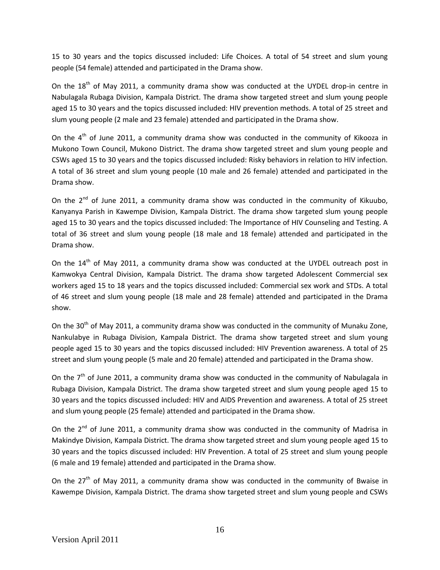15 to 30 years and the topics discussed included: Life Choices. A total of 54 street and slum young people (54 female) attended and participated in the Drama show.

On the  $18<sup>th</sup>$  of May 2011, a community drama show was conducted at the UYDEL drop-in centre in Nabulagala Rubaga Division, Kampala District. The drama show targeted street and slum young people aged 15 to 30 years and the topics discussed included: HIV prevention methods. A total of 25 street and slum young people (2 male and 23 female) attended and participated in the Drama show.

On the  $4<sup>th</sup>$  of June 2011, a community drama show was conducted in the community of Kikooza in Mukono Town Council, Mukono District. The drama show targeted street and slum young people and CSWs aged 15 to 30 years and the topics discussed included: Risky behaviors in relation to HIV infection. A total of 36 street and slum young people (10 male and 26 female) attended and participated in the Drama show.

On the  $2^{nd}$  of June 2011, a community drama show was conducted in the community of Kikuubo, Kanyanya Parish in Kawempe Division, Kampala District. The drama show targeted slum young people aged 15 to 30 years and the topics discussed included: The Importance of HIV Counseling and Testing. A total of 36 street and slum young people (18 male and 18 female) attended and participated in the Drama show.

On the  $14<sup>th</sup>$  of May 2011, a community drama show was conducted at the UYDEL outreach post in Kamwokya Central Division, Kampala District. The drama show targeted Adolescent Commercial sex workers aged 15 to 18 years and the topics discussed included: Commercial sex work and STDs. A total of 46 street and slum young people (18 male and 28 female) attended and participated in the Drama show.

On the 30<sup>th</sup> of May 2011, a community drama show was conducted in the community of Munaku Zone, Nankulabye in Rubaga Division, Kampala District. The drama show targeted street and slum young people aged 15 to 30 years and the topics discussed included: HIV Prevention awareness. A total of 25 street and slum young people (5 male and 20 female) attended and participated in the Drama show.

On the 7<sup>th</sup> of June 2011, a community drama show was conducted in the community of Nabulagala in Rubaga Division, Kampala District. The drama show targeted street and slum young people aged 15 to 30 years and the topics discussed included: HIV and AIDS Prevention and awareness. A total of 25 street and slum young people (25 female) attended and participated in the Drama show.

On the 2<sup>nd</sup> of June 2011, a community drama show was conducted in the community of Madrisa in Makindye Division, Kampala District. The drama show targeted street and slum young people aged 15 to 30 years and the topics discussed included: HIV Prevention. A total of 25 street and slum young people (6 male and 19 female) attended and participated in the Drama show.

On the  $27<sup>th</sup>$  of May 2011, a community drama show was conducted in the community of Bwaise in Kawempe Division, Kampala District. The drama show targeted street and slum young people and CSWs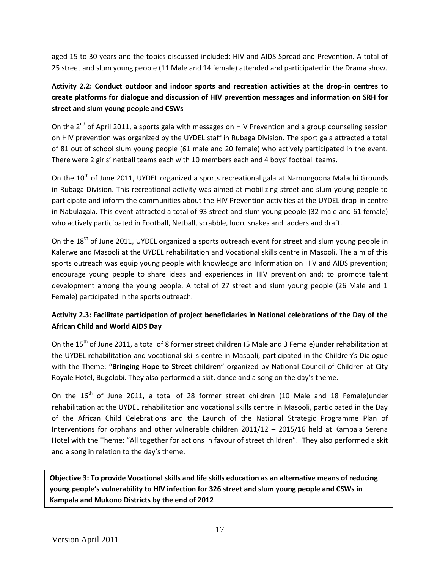aged 15 to 30 years and the topics discussed included: HIV and AIDS Spread and Prevention. A total of 25 street and slum young people (11 Male and 14 female) attended and participated in the Drama show.

# **Activity 2.2: Conduct outdoor and indoor sports and recreation activities at the drop-in centres to create platforms for dialogue and discussion of HIV prevention messages and information on SRH for street and slum young people and CSWs**

On the 2<sup>nd</sup> of April 2011, a sports gala with messages on HIV Prevention and a group counseling session on HIV prevention was organized by the UYDEL staff in Rubaga Division. The sport gala attracted a total of 81 out of school slum young people (61 male and 20 female) who actively participated in the event. There were 2 girls' netball teams each with 10 members each and 4 boys' football teams.

On the 10<sup>th</sup> of June 2011, UYDEL organized a sports recreational gala at Namungoona Malachi Grounds in Rubaga Division. This recreational activity was aimed at mobilizing street and slum young people to participate and inform the communities about the HIV Prevention activities at the UYDEL drop-in centre in Nabulagala. This event attracted a total of 93 street and slum young people (32 male and 61 female) who actively participated in Football, Netball, scrabble, ludo, snakes and ladders and draft.

On the 18<sup>th</sup> of June 2011, UYDEL organized a sports outreach event for street and slum young people in Kalerwe and Masooli at the UYDEL rehabilitation and Vocational skills centre in Masooli. The aim of this sports outreach was equip young people with knowledge and Information on HIV and AIDS prevention; encourage young people to share ideas and experiences in HIV prevention and; to promote talent development among the young people. A total of 27 street and slum young people (26 Male and 1 Female) participated in the sports outreach.

# **Activity 2.3: Facilitate participation of project beneficiaries in National celebrations of the Day of the African Child and World AIDS Day**

On the 15<sup>th</sup> of June 2011, a total of 8 former street children (5 Male and 3 Female)under rehabilitation at the UYDEL rehabilitation and vocational skills centre in Masooli, participated in the Children's Dialogue with the Theme: "**Bringing Hope to Street children**" organized by National Council of Children at City Royale Hotel, Bugolobi. They also performed a skit, dance and a song on the day's theme.

On the  $16<sup>th</sup>$  of June 2011, a total of 28 former street children (10 Male and 18 Female)under rehabilitation at the UYDEL rehabilitation and vocational skills centre in Masooli, participated in the Day of the African Child Celebrations and the Launch of the National Strategic Programme Plan of Interventions for orphans and other vulnerable children 2011/12 – 2015/16 held at Kampala Serena Hotel with the Theme: "All together for actions in favour of street children". They also performed a skit and a song in relation to the day's theme.

**Objective 3: To provide Vocational skills and life skills education as an alternative means of reducing young people's vulnerability to HIV infection for 326 street and slum young people and CSWs in Kampala and Mukono Districts by the end of 2012**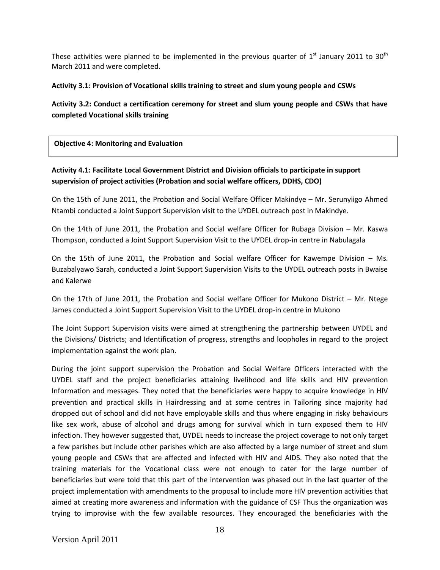These activities were planned to be implemented in the previous quarter of  $1<sup>st</sup>$  January 2011 to 30<sup>th</sup> March 2011 and were completed.

#### **Activity 3.1: Provision of Vocational skills training to street and slum young people and CSWs**

# **Activity 3.2: Conduct a certification ceremony for street and slum young people and CSWs that have completed Vocational skills training**

**Objective 4: Monitoring and Evaluation**

# **Activity 4.1: Facilitate Local Government District and Division officials to participate in support supervision of project activities (Probation and social welfare officers, DDHS, CDO)**

On the 15th of June 2011, the Probation and Social Welfare Officer Makindye – Mr. Serunyiigo Ahmed Ntambi conducted a Joint Support Supervision visit to the UYDEL outreach post in Makindye.

On the 14th of June 2011, the Probation and Social welfare Officer for Rubaga Division – Mr. Kaswa Thompson, conducted a Joint Support Supervision Visit to the UYDEL drop-in centre in Nabulagala

On the 15th of June 2011, the Probation and Social welfare Officer for Kawempe Division – Ms. Buzabalyawo Sarah, conducted a Joint Support Supervision Visits to the UYDEL outreach posts in Bwaise and Kalerwe

On the 17th of June 2011, the Probation and Social welfare Officer for Mukono District – Mr. Ntege James conducted a Joint Support Supervision Visit to the UYDEL drop-in centre in Mukono

The Joint Support Supervision visits were aimed at strengthening the partnership between UYDEL and the Divisions/ Districts; and Identification of progress, strengths and loopholes in regard to the project implementation against the work plan.

During the joint support supervision the Probation and Social Welfare Officers interacted with the UYDEL staff and the project beneficiaries attaining livelihood and life skills and HIV prevention Information and messages. They noted that the beneficiaries were happy to acquire knowledge in HIV prevention and practical skills in Hairdressing and at some centres in Tailoring since majority had dropped out of school and did not have employable skills and thus where engaging in risky behaviours like sex work, abuse of alcohol and drugs among for survival which in turn exposed them to HIV infection. They however suggested that, UYDEL needs to increase the project coverage to not only target a few parishes but include other parishes which are also affected by a large number of street and slum young people and CSWs that are affected and infected with HIV and AIDS. They also noted that the training materials for the Vocational class were not enough to cater for the large number of beneficiaries but were told that this part of the intervention was phased out in the last quarter of the project implementation with amendments to the proposal to include more HIV prevention activities that aimed at creating more awareness and information with the guidance of CSF Thus the organization was trying to improvise with the few available resources. They encouraged the beneficiaries with the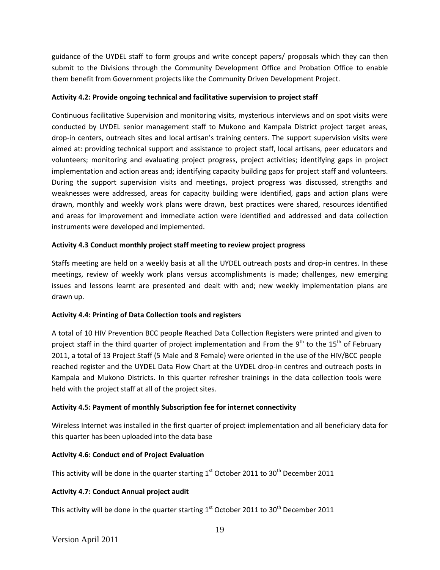guidance of the UYDEL staff to form groups and write concept papers/ proposals which they can then submit to the Divisions through the Community Development Office and Probation Office to enable them benefit from Government projects like the Community Driven Development Project.

#### **Activity 4.2: Provide ongoing technical and facilitative supervision to project staff**

Continuous facilitative Supervision and monitoring visits, mysterious interviews and on spot visits were conducted by UYDEL senior management staff to Mukono and Kampala District project target areas, drop-in centers, outreach sites and local artisan's training centers. The support supervision visits were aimed at: providing technical support and assistance to project staff, local artisans, peer educators and volunteers; monitoring and evaluating project progress, project activities; identifying gaps in project implementation and action areas and; identifying capacity building gaps for project staff and volunteers. During the support supervision visits and meetings, project progress was discussed, strengths and weaknesses were addressed, areas for capacity building were identified, gaps and action plans were drawn, monthly and weekly work plans were drawn, best practices were shared, resources identified and areas for improvement and immediate action were identified and addressed and data collection instruments were developed and implemented.

### **Activity 4.3 Conduct monthly project staff meeting to review project progress**

Staffs meeting are held on a weekly basis at all the UYDEL outreach posts and drop-in centres. In these meetings, review of weekly work plans versus accomplishments is made; challenges, new emerging issues and lessons learnt are presented and dealt with and; new weekly implementation plans are drawn up.

### **Activity 4.4: Printing of Data Collection tools and registers**

A total of 10 HIV Prevention BCC people Reached Data Collection Registers were printed and given to project staff in the third quarter of project implementation and From the  $9^{th}$  to the  $15^{th}$  of February 2011, a total of 13 Project Staff (5 Male and 8 Female) were oriented in the use of the HIV/BCC people reached register and the UYDEL Data Flow Chart at the UYDEL drop-in centres and outreach posts in Kampala and Mukono Districts. In this quarter refresher trainings in the data collection tools were held with the project staff at all of the project sites.

### **Activity 4.5: Payment of monthly Subscription fee for internet connectivity**

Wireless Internet was installed in the first quarter of project implementation and all beneficiary data for this quarter has been uploaded into the data base

#### **Activity 4.6: Conduct end of Project Evaluation**

This activity will be done in the quarter starting  $1<sup>st</sup>$  October 2011 to 30<sup>th</sup> December 2011

#### **Activity 4.7: Conduct Annual project audit**

This activity will be done in the quarter starting  $1<sup>st</sup>$  October 2011 to 30<sup>th</sup> December 2011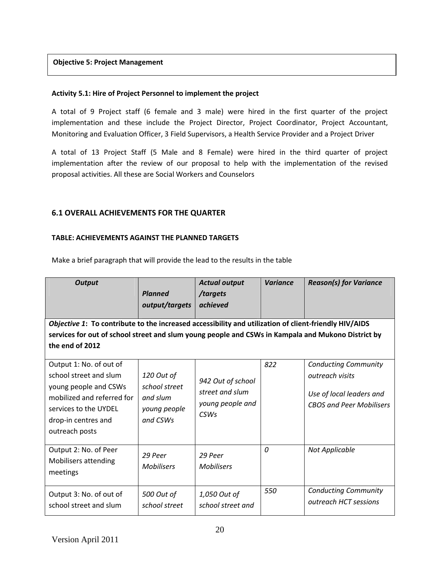#### **Objective 5: Project Management**

#### **Activity 5.1: Hire of Project Personnel to implement the project**

A total of 9 Project staff (6 female and 3 male) were hired in the first quarter of the project implementation and these include the Project Director, Project Coordinator, Project Accountant, Monitoring and Evaluation Officer, 3 Field Supervisors, a Health Service Provider and a Project Driver

A total of 13 Project Staff (5 Male and 8 Female) were hired in the third quarter of project implementation after the review of our proposal to help with the implementation of the revised proposal activities. All these are Social Workers and Counselors

### **6.1 OVERALL ACHIEVEMENTS FOR THE QUARTER**

### **TABLE: ACHIEVEMENTS AGAINST THE PLANNED TARGETS**

Make a brief paragraph that will provide the lead to the results in the table

| <b>Output</b>                                                                                                                                                                                                                  | <b>Planned</b><br>output/targets                                    | <b>Actual output</b><br>/targets<br>achieved                     | <b>Variance</b> | <b>Reason(s) for Variance</b>                                                                                 |  |  |  |  |  |  |  |  |  |
|--------------------------------------------------------------------------------------------------------------------------------------------------------------------------------------------------------------------------------|---------------------------------------------------------------------|------------------------------------------------------------------|-----------------|---------------------------------------------------------------------------------------------------------------|--|--|--|--|--|--|--|--|--|
| Objective 1: To contribute to the increased accessibility and utilization of client-friendly HIV/AIDS<br>services for out of school street and slum young people and CSWs in Kampala and Mukono District by<br>the end of 2012 |                                                                     |                                                                  |                 |                                                                                                               |  |  |  |  |  |  |  |  |  |
| Output 1: No. of out of<br>school street and slum<br>young people and CSWs<br>mobilized and referred for<br>services to the UYDEL<br>drop-in centres and<br>outreach posts                                                     | 120 Out of<br>school street<br>and slum<br>young people<br>and CSWs | 942 Out of school<br>street and slum<br>young people and<br>CSWs | 822             | <b>Conducting Community</b><br>outreach visits<br>Use of local leaders and<br><b>CBOS and Peer Mobilisers</b> |  |  |  |  |  |  |  |  |  |
| Output 2: No. of Peer<br>Mobilisers attending<br>meetings                                                                                                                                                                      | 29 Peer<br><b>Mobilisers</b>                                        | 29 Peer<br><b>Mobilisers</b>                                     | $\Omega$        | <b>Not Applicable</b>                                                                                         |  |  |  |  |  |  |  |  |  |
| Output 3: No. of out of<br>school street and slum                                                                                                                                                                              | 500 Out of<br>school street                                         | 1,050 Out of<br>school street and                                | 550             | <b>Conducting Community</b><br>outreach HCT sessions                                                          |  |  |  |  |  |  |  |  |  |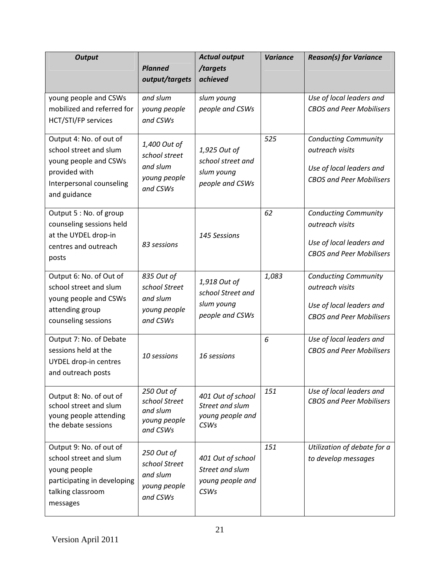| <b>Output</b>                                     |                             | <b>Actual output</b>                | <b>Variance</b> | <b>Reason(s) for Variance</b>                               |  |  |  |  |  |
|---------------------------------------------------|-----------------------------|-------------------------------------|-----------------|-------------------------------------------------------------|--|--|--|--|--|
|                                                   | <b>Planned</b>              | /targets<br>achieved                |                 |                                                             |  |  |  |  |  |
|                                                   | output/targets              |                                     |                 |                                                             |  |  |  |  |  |
| young people and CSWs                             | and slum                    | slum young                          |                 | Use of local leaders and                                    |  |  |  |  |  |
| mobilized and referred for                        | young people<br>and CSWs    | people and CSWs                     |                 | <b>CBOS and Peer Mobilisers</b>                             |  |  |  |  |  |
| HCT/STI/FP services                               |                             |                                     |                 |                                                             |  |  |  |  |  |
| Output 4: No. of out of                           | 1,400 Out of                |                                     | 525             | <b>Conducting Community</b>                                 |  |  |  |  |  |
| school street and slum<br>young people and CSWs   | school street               | 1,925 Out of<br>school street and   |                 | outreach visits                                             |  |  |  |  |  |
| provided with                                     | and slum                    | slum young                          |                 | Use of local leaders and                                    |  |  |  |  |  |
| Interpersonal counseling                          | young people<br>and CSWs    | people and CSWs                     |                 | <b>CBOS and Peer Mobilisers</b>                             |  |  |  |  |  |
| and guidance                                      |                             |                                     |                 |                                                             |  |  |  |  |  |
| Output 5 : No. of group                           |                             |                                     | 62              | <b>Conducting Community</b>                                 |  |  |  |  |  |
| counseling sessions held                          |                             |                                     |                 | outreach visits                                             |  |  |  |  |  |
| at the UYDEL drop-in                              | 83 sessions                 | 145 Sessions                        |                 | Use of local leaders and                                    |  |  |  |  |  |
| centres and outreach<br>posts                     |                             |                                     |                 | <b>CBOS and Peer Mobilisers</b>                             |  |  |  |  |  |
|                                                   |                             |                                     |                 |                                                             |  |  |  |  |  |
| Output 6: No. of Out of<br>school street and slum | 835 Out of<br>school Street | 1,918 Out of                        | 1,083           | <b>Conducting Community</b><br>outreach visits              |  |  |  |  |  |
| young people and CSWs                             | and slum                    | school Street and                   |                 |                                                             |  |  |  |  |  |
| attending group                                   | young people                | slum young                          |                 | Use of local leaders and                                    |  |  |  |  |  |
| counseling sessions                               | and CSWs                    | people and CSWs                     |                 | <b>CBOS and Peer Mobilisers</b>                             |  |  |  |  |  |
| Output 7: No. of Debate                           |                             |                                     | 6               | Use of local leaders and                                    |  |  |  |  |  |
| sessions held at the                              | 10 sessions                 | 16 sessions                         |                 | <b>CBOS and Peer Mobilisers</b>                             |  |  |  |  |  |
| UYDEL drop-in centres<br>and outreach posts       |                             |                                     |                 |                                                             |  |  |  |  |  |
|                                                   |                             |                                     |                 |                                                             |  |  |  |  |  |
| Output 8: No. of out of                           | 250 Out of<br>school Street | 401 Out of school                   | 151             | Use of local leaders and<br><b>CBOS and Peer Mobilisers</b> |  |  |  |  |  |
| school street and slum<br>young people attending  | and slum                    | Street and slum<br>young people and |                 |                                                             |  |  |  |  |  |
| the debate sessions                               | young people                | <b>CSWs</b>                         |                 |                                                             |  |  |  |  |  |
|                                                   | and CSWs                    |                                     |                 |                                                             |  |  |  |  |  |
| Output 9: No. of out of<br>school street and slum | 250 Out of                  | 401 Out of school                   | 151             | Utilization of debate for a<br>to develop messages          |  |  |  |  |  |
| young people                                      | school Street               | Street and slum                     |                 |                                                             |  |  |  |  |  |
| participating in developing                       | and slum<br>young people    | young people and                    |                 |                                                             |  |  |  |  |  |
| talking classroom                                 | and CSWs                    | <b>CSWs</b>                         |                 |                                                             |  |  |  |  |  |
| messages                                          |                             |                                     |                 |                                                             |  |  |  |  |  |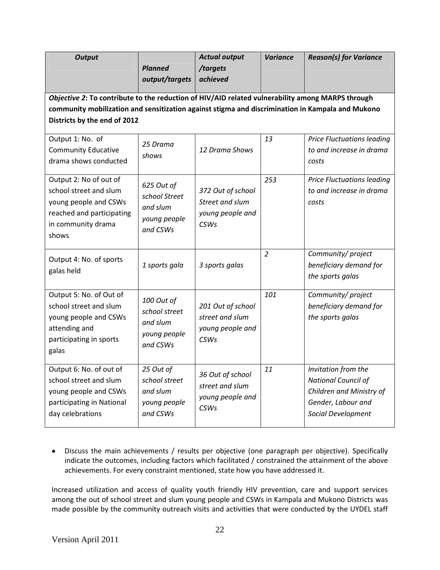| <b>Output</b>                                                                                                                                                                                                                        | <b>Planned</b><br>output/targets                                    | <b>Actual output</b><br>/targets<br>achieved                            | <b>Variance</b> | <b>Reason(s) for Variance</b>                                                                                      |  |  |  |  |  |  |  |  |
|--------------------------------------------------------------------------------------------------------------------------------------------------------------------------------------------------------------------------------------|---------------------------------------------------------------------|-------------------------------------------------------------------------|-----------------|--------------------------------------------------------------------------------------------------------------------|--|--|--|--|--|--|--|--|
| Objective 2: To contribute to the reduction of HIV/AID related vulnerability among MARPS through<br>community mobilization and sensitization against stigma and discrimination in Kampala and Mukono<br>Districts by the end of 2012 |                                                                     |                                                                         |                 |                                                                                                                    |  |  |  |  |  |  |  |  |
| Output 1: No. of<br><b>Community Educative</b><br>drama shows conducted                                                                                                                                                              | 25 Drama<br>shows                                                   | 12 Drama Shows                                                          | 13              | <b>Price Fluctuations leading</b><br>to and increase in drama<br>costs                                             |  |  |  |  |  |  |  |  |
| Output 2: No of out of<br>school street and slum<br>young people and CSWs<br>reached and participating<br>in community drama<br>shows                                                                                                | 625 Out of<br>school Street<br>and slum<br>young people<br>and CSWs | 372 Out of school<br>Street and slum<br>young people and<br><b>CSWs</b> | 253             | <b>Price Fluctuations leading</b><br>to and increase in drama<br>costs                                             |  |  |  |  |  |  |  |  |
| Output 4: No. of sports<br>galas held                                                                                                                                                                                                | 1 sports gala                                                       | 3 sports galas                                                          | $\overline{2}$  | Community/project<br>beneficiary demand for<br>the sports galas                                                    |  |  |  |  |  |  |  |  |
| Output 5: No. of Out of<br>school street and slum<br>young people and CSWs<br>attending and<br>participating in sports<br>galas                                                                                                      | 100 Out of<br>school street<br>and slum<br>young people<br>and CSWs | 201 Out of school<br>street and slum<br>young people and<br><b>CSWs</b> | 101             | Community/project<br>beneficiary demand for<br>the sports galas                                                    |  |  |  |  |  |  |  |  |
| Output 6: No. of out of<br>school street and slum<br>young people and CSWs<br>participating in National<br>day celebrations                                                                                                          | 25 Out of<br>school street<br>and slum<br>young people<br>and CSWs  | 36 Out of school<br>street and slum<br>young people and<br><b>CSWs</b>  | 11              | Invitation from the<br>National Council of<br>Children and Ministry of<br>Gender, Labour and<br>Social Development |  |  |  |  |  |  |  |  |

 Discuss the main achievements / results per objective (one paragraph per objective). Specifically indicate the outcomes, including factors which facilitated / constrained the attainment of the above achievements. For every constraint mentioned, state how you have addressed it.

Increased utilization and access of quality youth friendly HIV prevention, care and support services among the out of school street and slum young people and CSWs in Kampala and Mukono Districts was made possible by the community outreach visits and activities that were conducted by the UYDEL staff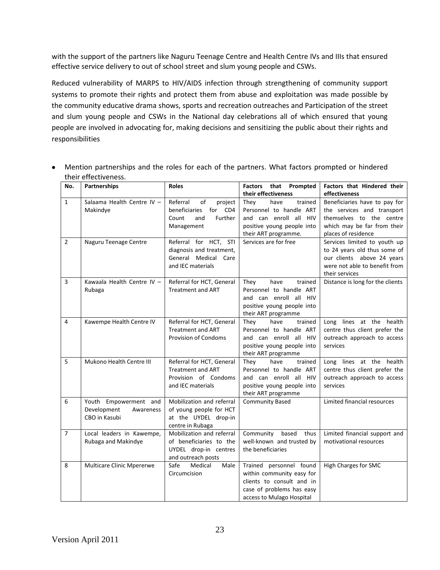with the support of the partners like Naguru Teenage Centre and Health Centre IVs and IIIs that ensured effective service delivery to out of school street and slum young people and CSWs.

Reduced vulnerability of MARPS to HIV/AIDS infection through strengthening of community support systems to promote their rights and protect them from abuse and exploitation was made possible by the community educative drama shows, sports and recreation outreaches and Participation of the street and slum young people and CSWs in the National day celebrations all of which ensured that young people are involved in advocating for, making decisions and sensitizing the public about their rights and responsibilities

| No.            | Partnerships                                                       | <b>Roles</b>                                                                                        | Factors that Prompted<br>their effectiveness                                                                                                | Factors that Hindered their<br>effectiveness                                                                                                  |
|----------------|--------------------------------------------------------------------|-----------------------------------------------------------------------------------------------------|---------------------------------------------------------------------------------------------------------------------------------------------|-----------------------------------------------------------------------------------------------------------------------------------------------|
| $\mathbf{1}$   | Salaama Health Centre IV -<br>Makindye                             | Referral<br>of<br>project<br>for CD4<br>beneficiaries<br>Further<br>Count<br>and<br>Management      | trained<br>have<br>They<br>Personnel to handle ART<br>and can enroll all HIV<br>positive young people into<br>their ART programme.          | Beneficiaries have to pay for<br>the services and transport<br>themselves to the centre<br>which may be far from their<br>places of residence |
| $\overline{2}$ | Naguru Teenage Centre                                              | Referral for HCT,<br>STI<br>diagnosis and treatment,<br>General Medical Care<br>and IEC materials   | Services are for free                                                                                                                       | Services limited to youth up<br>to 24 years old thus some of<br>our clients above 24 years<br>were not able to benefit from<br>their services |
| 3              | Kawaala Health Centre IV -<br>Rubaga                               | Referral for HCT, General<br><b>Treatment and ART</b>                                               | They<br>have<br>trained<br>Personnel to handle ART<br>and can enroll all HIV<br>positive young people into<br>their ART programme           | Distance is long for the clients                                                                                                              |
| 4              | Kawempe Health Centre IV                                           | Referral for HCT, General<br><b>Treatment and ART</b><br><b>Provision of Condoms</b>                | trained<br>have<br>They<br>Personnel to handle ART<br>and can enroll all HIV<br>positive young people into<br>their ART programme           | Long lines at the health<br>centre thus client prefer the<br>outreach approach to access<br>services                                          |
| 5              | Mukono Health Centre III                                           | Referral for HCT, General<br><b>Treatment and ART</b><br>Provision of Condoms<br>and IEC materials  | trained<br>They<br>have<br>Personnel to handle ART<br>and can enroll all HIV<br>positive young people into<br>their ART programme           | Long lines at the health<br>centre thus client prefer the<br>outreach approach to access<br>services                                          |
| 6              | Youth Empowerment and<br>Development<br>Awareness<br>CBO in Kasubi | Mobilization and referral<br>of young people for HCT<br>at the UYDEL drop-in<br>centre in Rubaga    | <b>Community Based</b>                                                                                                                      | Limited financial resources                                                                                                                   |
| $\overline{7}$ | Local leaders in Kawempe,<br>Rubaga and Makindye                   | Mobilization and referral<br>of beneficiaries to the<br>UYDEL drop-in centres<br>and outreach posts | Community<br>based<br>thus<br>well-known and trusted by<br>the beneficiaries                                                                | Limited financial support and<br>motivational resources                                                                                       |
| 8              | Multicare Clinic Mpererwe                                          | Safe<br>Medical<br>Male<br>Circumcision                                                             | Trained personnel found<br>within community easy for<br>clients to consult and in<br>case of problems has easy<br>access to Mulago Hospital | <b>High Charges for SMC</b>                                                                                                                   |

 Mention partnerships and the roles for each of the partners. What factors prompted or hindered their effectiveness.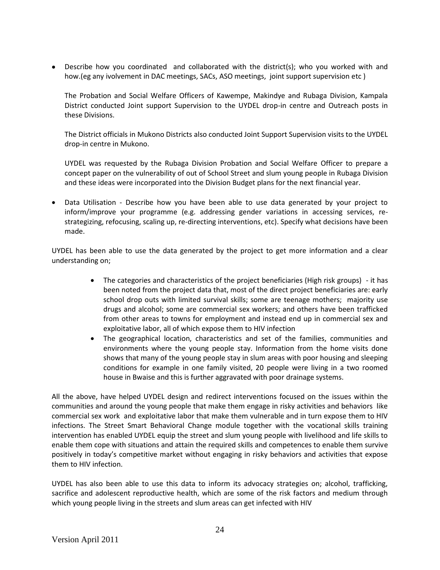Describe how you coordinated and collaborated with the district(s); who you worked with and how.(eg any ivolvement in DAC meetings, SACs, ASO meetings, joint support supervision etc )

The Probation and Social Welfare Officers of Kawempe, Makindye and Rubaga Division, Kampala District conducted Joint support Supervision to the UYDEL drop-in centre and Outreach posts in these Divisions.

The District officials in Mukono Districts also conducted Joint Support Supervision visits to the UYDEL drop-in centre in Mukono.

UYDEL was requested by the Rubaga Division Probation and Social Welfare Officer to prepare a concept paper on the vulnerability of out of School Street and slum young people in Rubaga Division and these ideas were incorporated into the Division Budget plans for the next financial year.

 Data Utilisation - Describe how you have been able to use data generated by your project to inform/improve your programme (e.g. addressing gender variations in accessing services, restrategizing, refocusing, scaling up, re-directing interventions, etc). Specify what decisions have been made.

UYDEL has been able to use the data generated by the project to get more information and a clear understanding on;

- The categories and characteristics of the project beneficiaries (High risk groups) it has been noted from the project data that, most of the direct project beneficiaries are: early school drop outs with limited survival skills; some are teenage mothers; majority use drugs and alcohol; some are commercial sex workers; and others have been trafficked from other areas to towns for employment and instead end up in commercial sex and exploitative labor, all of which expose them to HIV infection
- The geographical location, characteristics and set of the families, communities and environments where the young people stay. Information from the home visits done shows that many of the young people stay in slum areas with poor housing and sleeping conditions for example in one family visited, 20 people were living in a two roomed house in Bwaise and this is further aggravated with poor drainage systems.

All the above, have helped UYDEL design and redirect interventions focused on the issues within the communities and around the young people that make them engage in risky activities and behaviors like commercial sex work and exploitative labor that make them vulnerable and in turn expose them to HIV infections. The Street Smart Behavioral Change module together with the vocational skills training intervention has enabled UYDEL equip the street and slum young people with livelihood and life skills to enable them cope with situations and attain the required skills and competences to enable them survive positively in today's competitive market without engaging in risky behaviors and activities that expose them to HIV infection.

UYDEL has also been able to use this data to inform its advocacy strategies on; alcohol, trafficking, sacrifice and adolescent reproductive health, which are some of the risk factors and medium through which young people living in the streets and slum areas can get infected with HIV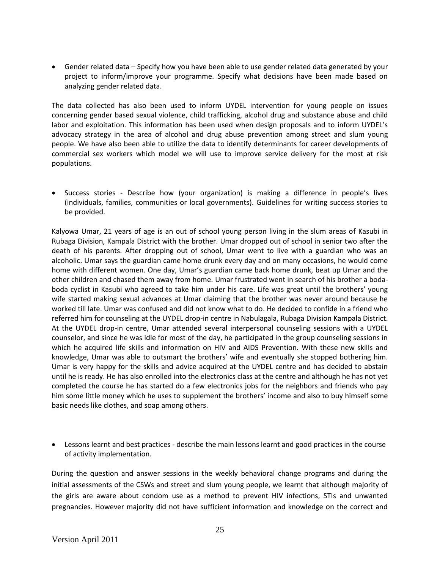Gender related data – Specify how you have been able to use gender related data generated by your project to inform/improve your programme. Specify what decisions have been made based on analyzing gender related data.

The data collected has also been used to inform UYDEL intervention for young people on issues concerning gender based sexual violence, child trafficking, alcohol drug and substance abuse and child labor and exploitation. This information has been used when design proposals and to inform UYDEL's advocacy strategy in the area of alcohol and drug abuse prevention among street and slum young people. We have also been able to utilize the data to identify determinants for career developments of commercial sex workers which model we will use to improve service delivery for the most at risk populations.

• Success stories - Describe how (your organization) is making a difference in people's lives (individuals, families, communities or local governments). Guidelines for writing success stories to be provided.

Kalyowa Umar, 21 years of age is an out of school young person living in the slum areas of Kasubi in Rubaga Division, Kampala District with the brother. Umar dropped out of school in senior two after the death of his parents. After dropping out of school, Umar went to live with a guardian who was an alcoholic. Umar says the guardian came home drunk every day and on many occasions, he would come home with different women. One day, Umar's guardian came back home drunk, beat up Umar and the other children and chased them away from home. Umar frustrated went in search of his brother a bodaboda cyclist in Kasubi who agreed to take him under his care. Life was great until the brothers' young wife started making sexual advances at Umar claiming that the brother was never around because he worked till late. Umar was confused and did not know what to do. He decided to confide in a friend who referred him for counseling at the UYDEL drop-in centre in Nabulagala, Rubaga Division Kampala District. At the UYDEL drop-in centre, Umar attended several interpersonal counseling sessions with a UYDEL counselor, and since he was idle for most of the day, he participated in the group counseling sessions in which he acquired life skills and information on HIV and AIDS Prevention. With these new skills and knowledge, Umar was able to outsmart the brothers' wife and eventually she stopped bothering him. Umar is very happy for the skills and advice acquired at the UYDEL centre and has decided to abstain until he is ready. He has also enrolled into the electronics class at the centre and although he has not yet completed the course he has started do a few electronics jobs for the neighbors and friends who pay him some little money which he uses to supplement the brothers' income and also to buy himself some basic needs like clothes, and soap among others.

 Lessons learnt and best practices - describe the main lessons learnt and good practices in the course of activity implementation.

During the question and answer sessions in the weekly behavioral change programs and during the initial assessments of the CSWs and street and slum young people, we learnt that although majority of the girls are aware about condom use as a method to prevent HIV infections, STIs and unwanted pregnancies. However majority did not have sufficient information and knowledge on the correct and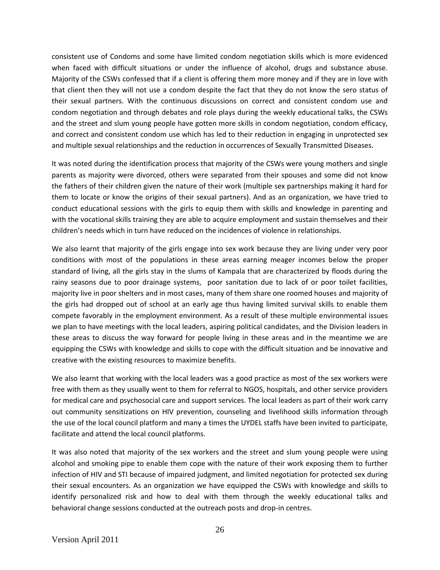consistent use of Condoms and some have limited condom negotiation skills which is more evidenced when faced with difficult situations or under the influence of alcohol, drugs and substance abuse. Majority of the CSWs confessed that if a client is offering them more money and if they are in love with that client then they will not use a condom despite the fact that they do not know the sero status of their sexual partners. With the continuous discussions on correct and consistent condom use and condom negotiation and through debates and role plays during the weekly educational talks, the CSWs and the street and slum young people have gotten more skills in condom negotiation, condom efficacy, and correct and consistent condom use which has led to their reduction in engaging in unprotected sex and multiple sexual relationships and the reduction in occurrences of Sexually Transmitted Diseases.

It was noted during the identification process that majority of the CSWs were young mothers and single parents as majority were divorced, others were separated from their spouses and some did not know the fathers of their children given the nature of their work (multiple sex partnerships making it hard for them to locate or know the origins of their sexual partners). And as an organization, we have tried to conduct educational sessions with the girls to equip them with skills and knowledge in parenting and with the vocational skills training they are able to acquire employment and sustain themselves and their children's needs which in turn have reduced on the incidences of violence in relationships.

We also learnt that majority of the girls engage into sex work because they are living under very poor conditions with most of the populations in these areas earning meager incomes below the proper standard of living, all the girls stay in the slums of Kampala that are characterized by floods during the rainy seasons due to poor drainage systems, poor sanitation due to lack of or poor toilet facilities, majority live in poor shelters and in most cases, many of them share one roomed houses and majority of the girls had dropped out of school at an early age thus having limited survival skills to enable them compete favorably in the employment environment. As a result of these multiple environmental issues we plan to have meetings with the local leaders, aspiring political candidates, and the Division leaders in these areas to discuss the way forward for people living in these areas and in the meantime we are equipping the CSWs with knowledge and skills to cope with the difficult situation and be innovative and creative with the existing resources to maximize benefits.

We also learnt that working with the local leaders was a good practice as most of the sex workers were free with them as they usually went to them for referral to NGOS, hospitals, and other service providers for medical care and psychosocial care and support services. The local leaders as part of their work carry out community sensitizations on HIV prevention, counseling and livelihood skills information through the use of the local council platform and many a times the UYDEL staffs have been invited to participate, facilitate and attend the local council platforms.

It was also noted that majority of the sex workers and the street and slum young people were using alcohol and smoking pipe to enable them cope with the nature of their work exposing them to further infection of HIV and STI because of impaired judgment, and limited negotiation for protected sex during their sexual encounters. As an organization we have equipped the CSWs with knowledge and skills to identify personalized risk and how to deal with them through the weekly educational talks and behavioral change sessions conducted at the outreach posts and drop-in centres.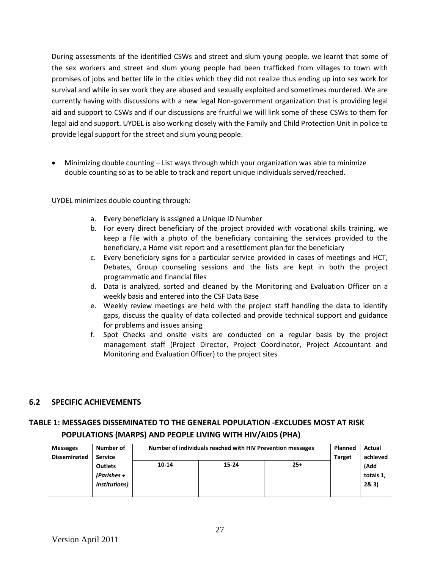During assessments of the identified CSWs and street and slum young people, we learnt that some of the sex workers and street and slum young people had been trafficked from villages to town with promises of jobs and better life in the cities which they did not realize thus ending up into sex work for survival and while in sex work they are abused and sexually exploited and sometimes murdered. We are currently having with discussions with a new legal Non-government organization that is providing legal aid and support to CSWs and if our discussions are fruitful we will link some of these CSWs to them for legal aid and support. UYDEL is also working closely with the Family and Child Protection Unit in police to provide legal support for the street and slum young people.

 Minimizing double counting – List ways through which your organization was able to minimize double counting so as to be able to track and report unique individuals served/reached.

UYDEL minimizes double counting through:

- a. Every beneficiary is assigned a Unique ID Number
- b. For every direct beneficiary of the project provided with vocational skills training, we keep a file with a photo of the beneficiary containing the services provided to the beneficiary, a Home visit report and a resettlement plan for the beneficiary
- c. Every beneficiary signs for a particular service provided in cases of meetings and HCT, Debates, Group counseling sessions and the lists are kept in both the project programmatic and financial files
- d. Data is analyzed, sorted and cleaned by the Monitoring and Evaluation Officer on a weekly basis and entered into the CSF Data Base
- e. Weekly review meetings are held with the project staff handling the data to identify gaps, discuss the quality of data collected and provide technical support and guidance for problems and issues arising
- f. Spot Checks and onsite visits are conducted on a regular basis by the project management staff (Project Director, Project Coordinator, Project Accountant and Monitoring and Evaluation Officer) to the project sites

### **6.2 SPECIFIC ACHIEVEMENTS**

# **TABLE 1: MESSAGES DISSEMINATED TO THE GENERAL POPULATION -EXCLUDES MOST AT RISK POPULATIONS (MARPS) AND PEOPLE LIVING WITH HIV/AIDS (PHA)**

| <b>Messages</b>     | Number of                                             | Number of individuals reached with HIV Prevention messages | <b>Planned</b> | Actual   |  |                           |
|---------------------|-------------------------------------------------------|------------------------------------------------------------|----------------|----------|--|---------------------------|
| <b>Disseminated</b> | <b>Service</b>                                        |                                                            | <b>Target</b>  | achieved |  |                           |
|                     | <b>Outlets</b><br>(Parishes +<br><i>Institutions)</i> | 10-14                                                      | $15 - 24$      | $25+$    |  | (Add<br>totals 1,<br>28.3 |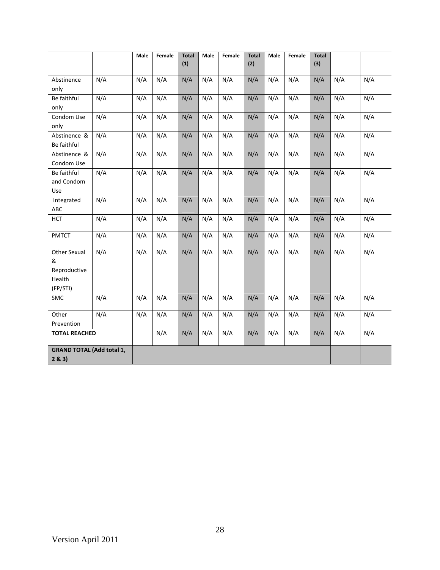|                                  |                      | Male | Female | <b>Total</b><br>(1) | Male | Female | <b>Total</b><br>(2) | Male | Female | <b>Total</b><br>(3) |     |     |
|----------------------------------|----------------------|------|--------|---------------------|------|--------|---------------------|------|--------|---------------------|-----|-----|
|                                  |                      |      |        |                     |      |        |                     |      |        |                     |     |     |
| Abstinence                       | N/A                  | N/A  | N/A    | N/A                 | N/A  | N/A    | N/A                 | N/A  | N/A    | N/A                 | N/A | N/A |
| only                             |                      |      |        |                     |      |        |                     |      |        |                     |     |     |
| Be faithful                      | N/A                  | N/A  | N/A    | N/A                 | N/A  | N/A    | N/A                 | N/A  | N/A    | N/A                 | N/A | N/A |
| only                             |                      |      |        |                     |      |        |                     |      |        |                     |     |     |
| Condom Use                       | N/A                  | N/A  | N/A    | N/A                 | N/A  | N/A    | N/A                 | N/A  | N/A    | N/A                 | N/A | N/A |
| only                             |                      |      |        |                     |      |        |                     |      |        |                     |     |     |
| Abstinence &                     | N/A                  | N/A  | N/A    | N/A                 | N/A  | N/A    | N/A                 | N/A  | N/A    | N/A                 | N/A | N/A |
| Be faithful                      |                      |      |        |                     |      |        |                     |      |        |                     |     |     |
| Abstinence &                     | N/A                  | N/A  | N/A    | N/A                 | N/A  | N/A    | N/A                 | N/A  | N/A    | N/A                 | N/A | N/A |
| Condom Use                       |                      |      |        |                     |      |        |                     |      |        |                     |     |     |
| Be faithful                      | N/A                  | N/A  | N/A    | N/A                 | N/A  | N/A    | N/A                 | N/A  | N/A    | N/A                 | N/A | N/A |
| and Condom                       |                      |      |        |                     |      |        |                     |      |        |                     |     |     |
| Use                              |                      |      |        |                     |      |        |                     |      |        |                     |     |     |
| Integrated                       | N/A                  | N/A  | N/A    | N/A                 | N/A  | N/A    | N/A                 | N/A  | N/A    | N/A                 | N/A | N/A |
| <b>ABC</b>                       |                      |      |        |                     |      |        |                     |      |        |                     |     |     |
| <b>HCT</b>                       | N/A                  | N/A  | N/A    | N/A                 | N/A  | N/A    | N/A                 | N/A  | N/A    | N/A                 | N/A | N/A |
| <b>PMTCT</b>                     | N/A                  | N/A  | N/A    | N/A                 | N/A  | N/A    | N/A                 | N/A  | N/A    | N/A                 | N/A | N/A |
| <b>Other Sexual</b>              | N/A                  | N/A  | N/A    | N/A                 | N/A  | N/A    | N/A                 | N/A  | N/A    | N/A                 | N/A | N/A |
| &                                |                      |      |        |                     |      |        |                     |      |        |                     |     |     |
| Reproductive                     |                      |      |        |                     |      |        |                     |      |        |                     |     |     |
| Health                           |                      |      |        |                     |      |        |                     |      |        |                     |     |     |
| (FP/STI)                         |                      |      |        |                     |      |        |                     |      |        |                     |     |     |
| <b>SMC</b>                       | N/A                  | N/A  | N/A    | N/A                 | N/A  | N/A    | N/A                 | N/A  | N/A    | N/A                 | N/A | N/A |
| Other                            | N/A                  | N/A  | N/A    | N/A                 | N/A  | N/A    | N/A                 | N/A  | N/A    | N/A                 | N/A | N/A |
| Prevention                       |                      |      |        |                     |      |        |                     |      |        |                     |     |     |
|                                  | <b>TOTAL REACHED</b> |      | N/A    | N/A                 | N/A  | N/A    | N/A                 | N/A  | N/A    | N/A                 | N/A | N/A |
| <b>GRAND TOTAL (Add total 1,</b> |                      |      |        |                     |      |        |                     |      |        |                     |     |     |
| 2 & 3                            |                      |      |        |                     |      |        |                     |      |        |                     |     |     |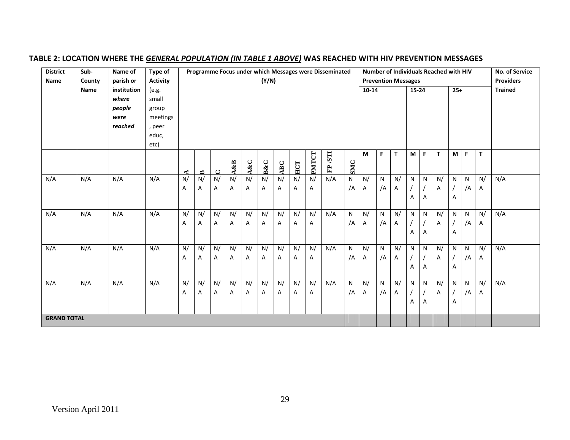| <b>District</b>    | Sub-   | Name of     | Type of         |                     |                                     |                     |     |                |        |                |     |              | Programme Focus under which Messages were Disseminated |              |           |    | Number of Individuals Reached with HIV |           |   |    |           |    |    | No. of Service   |
|--------------------|--------|-------------|-----------------|---------------------|-------------------------------------|---------------------|-----|----------------|--------|----------------|-----|--------------|--------------------------------------------------------|--------------|-----------|----|----------------------------------------|-----------|---|----|-----------|----|----|------------------|
| Name               | County | parish or   | <b>Activity</b> |                     |                                     |                     |     |                | (Y/N)  |                |     |              |                                                        |              |           |    | <b>Prevention Messages</b>             |           |   |    |           |    |    | <b>Providers</b> |
|                    | Name   | institution | (e.g.           |                     |                                     |                     |     |                |        |                |     |              |                                                        |              | $10 - 14$ |    |                                        | $15 - 24$ |   |    | $25+$     |    |    | <b>Trained</b>   |
|                    |        | where       | small           |                     |                                     |                     |     |                |        |                |     |              |                                                        |              |           |    |                                        |           |   |    |           |    |    |                  |
|                    |        | people      | group           |                     |                                     |                     |     |                |        |                |     |              |                                                        |              |           |    |                                        |           |   |    |           |    |    |                  |
|                    |        | were        | meetings        |                     |                                     |                     |     |                |        |                |     |              |                                                        |              |           |    |                                        |           |   |    |           |    |    |                  |
|                    |        | reached     | , peer          |                     |                                     |                     |     |                |        |                |     |              |                                                        |              |           |    |                                        |           |   |    |           |    |    |                  |
|                    |        |             | educ,           |                     |                                     |                     |     |                |        |                |     |              |                                                        |              |           |    |                                        |           |   |    |           |    |    |                  |
|                    |        |             | etc)            |                     |                                     |                     |     |                |        |                |     |              |                                                        |              |           |    |                                        |           |   |    |           |    |    |                  |
|                    |        |             |                 |                     |                                     |                     |     |                |        |                |     |              | TIS                                                    |              | M         | F. | $\mathsf T$                            | M         | F | T  | M         | F  | T  |                  |
|                    |        |             |                 |                     |                                     |                     | A&B | A&C            | $B\&C$ | ABC            | HCT | <b>PMTCT</b> | $\mathbf{F}$                                           | SMC          |           |    |                                        |           |   |    |           |    |    |                  |
| N/A                | N/A    | N/A         | N/A             | ◀<br>$\overline{N}$ | $\mathbf{\Omega}$<br>$\overline{N}$ | ں<br>$\overline{N}$ | N/  | $\overline{N}$ | N/     | $\overline{N}$ | N/  | N/           | N/A                                                    | N            | N/        | N  | N/                                     | N         | N | N/ | N         | N  | N/ | N/A              |
|                    |        |             |                 | Α                   | A                                   | Α                   | Α   | А              | A      | A              | A   | Α            |                                                        | /A           | Α         | /A | A                                      |           |   | Α  |           | /A | A  |                  |
|                    |        |             |                 |                     |                                     |                     |     |                |        |                |     |              |                                                        |              |           |    |                                        |           |   |    |           |    |    |                  |
|                    |        |             |                 |                     |                                     |                     |     |                |        |                |     |              |                                                        |              |           |    |                                        | А         | A |    | Α         |    |    |                  |
| N/A                | N/A    | N/A         | N/A             | N/                  | N/                                  | N/                  | N/  | N/             | N/     | N/             | N/  | N/           | N/A                                                    | N            | N/        | N  | N/                                     | N         | N | N/ | N         | N  | N/ | N/A              |
|                    |        |             |                 | Α                   | Α                                   | Α                   | Α   | А              | Α      | Α              | Α   | А            |                                                        | /A           | Α         | /A | A                                      |           |   | Α  |           | /A | A  |                  |
|                    |        |             |                 |                     |                                     |                     |     |                |        |                |     |              |                                                        |              |           |    |                                        | A         | A |    | Α         |    |    |                  |
|                    |        |             |                 |                     |                                     |                     |     |                |        |                |     |              |                                                        |              |           |    |                                        |           |   |    |           |    |    |                  |
| N/A                | N/A    | N/A         | N/A             | N/                  | N/                                  | N/                  | N/  | N/             | N/     | N/             | N/  | N/           | N/A                                                    | N            | N/        | N  | N/                                     | N         | N | N/ | N         | N  | N/ | N/A              |
|                    |        |             |                 | Α                   | Α                                   | Α                   | Α   | А              | Α      | A              | Α   | Α            |                                                        | /A           | Α         | /A | A                                      |           |   | Α  |           | /A | Α  |                  |
|                    |        |             |                 |                     |                                     |                     |     |                |        |                |     |              |                                                        |              |           |    |                                        | Α         | Α |    | Α         |    |    |                  |
|                    |        |             |                 |                     |                                     |                     |     |                |        |                |     |              |                                                        |              |           |    |                                        |           |   |    |           |    |    |                  |
| N/A                | N/A    | N/A         | N/A             | N/                  | N/                                  | N/                  | N/  | N/             | N/     | N/             | N/  | N/           | N/A                                                    | $\mathsf{N}$ | N/        | N  | N/                                     | N         | N | N/ | ${\sf N}$ | N  | N/ | N/A              |
|                    |        |             |                 | Α                   | Α                                   | Α                   | Α   | Α              | Α      | Α              | Α   | Α            |                                                        | /A           | A         | /A | A                                      |           |   | Α  |           | /A | A  |                  |
|                    |        |             |                 |                     |                                     |                     |     |                |        |                |     |              |                                                        |              |           |    |                                        | A         | A |    | Α         |    |    |                  |
| <b>GRAND TOTAL</b> |        |             |                 |                     |                                     |                     |     |                |        |                |     |              |                                                        |              |           |    |                                        |           |   |    |           |    |    |                  |

# **TABLE 2: LOCATION WHERE THE** *GENERAL POPULATION (IN TABLE 1 ABOVE)* **WAS REACHED WITH HIV PREVENTION MESSAGES**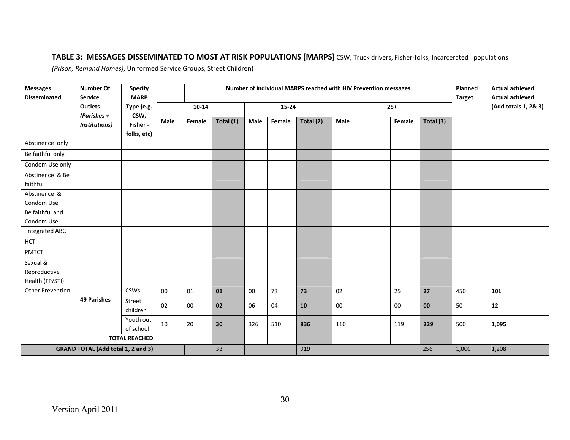# **TABLE 3: MESSAGES DISSEMINATED TO MOST AT RISK POPULATIONS (MARPS)** CSW, Truck drivers, Fisher-folks, Incarcerated populations

*(Prison, Remand Homes)*, Uniformed Service Groups, Street Children)

| <b>Messages</b><br><b>Disseminated</b>    | <b>Number Of</b><br><b>Service</b> | <b>Specify</b><br><b>MARP</b> | Number of individual MARPS reached with HIV Prevention messages |           |           |        |           |           |      |  |        |           | Planned<br><b>Target</b> | <b>Actual achieved</b><br><b>Actual achieved</b> |
|-------------------------------------------|------------------------------------|-------------------------------|-----------------------------------------------------------------|-----------|-----------|--------|-----------|-----------|------|--|--------|-----------|--------------------------|--------------------------------------------------|
|                                           | <b>Outlets</b><br>(Parishes +      | Type (e.g.<br>CSW,            |                                                                 | $10 - 14$ |           |        | $15 - 24$ |           |      |  | $25+$  |           |                          | (Add totals 1, 2& 3)                             |
|                                           | Institutions)                      | Fisher -                      | Male                                                            | Female    | Total (1) | Male   | Female    | Total (2) | Male |  | Female | Total (3) |                          |                                                  |
|                                           |                                    | folks, etc)                   |                                                                 |           |           |        |           |           |      |  |        |           |                          |                                                  |
| Abstinence only                           |                                    |                               |                                                                 |           |           |        |           |           |      |  |        |           |                          |                                                  |
| Be faithful only                          |                                    |                               |                                                                 |           |           |        |           |           |      |  |        |           |                          |                                                  |
| Condom Use only                           |                                    |                               |                                                                 |           |           |        |           |           |      |  |        |           |                          |                                                  |
| Abstinence & Be                           |                                    |                               |                                                                 |           |           |        |           |           |      |  |        |           |                          |                                                  |
| faithful                                  |                                    |                               |                                                                 |           |           |        |           |           |      |  |        |           |                          |                                                  |
| Abstinence &                              |                                    |                               |                                                                 |           |           |        |           |           |      |  |        |           |                          |                                                  |
| Condom Use                                |                                    |                               |                                                                 |           |           |        |           |           |      |  |        |           |                          |                                                  |
| Be faithful and                           |                                    |                               |                                                                 |           |           |        |           |           |      |  |        |           |                          |                                                  |
| Condom Use                                |                                    |                               |                                                                 |           |           |        |           |           |      |  |        |           |                          |                                                  |
| <b>Integrated ABC</b>                     |                                    |                               |                                                                 |           |           |        |           |           |      |  |        |           |                          |                                                  |
| <b>HCT</b>                                |                                    |                               |                                                                 |           |           |        |           |           |      |  |        |           |                          |                                                  |
| <b>PMTCT</b>                              |                                    |                               |                                                                 |           |           |        |           |           |      |  |        |           |                          |                                                  |
| Sexual &                                  |                                    |                               |                                                                 |           |           |        |           |           |      |  |        |           |                          |                                                  |
| Reproductive                              |                                    |                               |                                                                 |           |           |        |           |           |      |  |        |           |                          |                                                  |
| Health (FP/STI)                           |                                    |                               |                                                                 |           |           |        |           |           |      |  |        |           |                          |                                                  |
| <b>Other Prevention</b>                   |                                    | <b>CSWs</b>                   | $00\,$                                                          | 01        | 01        | $00\,$ | 73        | 73        | 02   |  | 25     | 27        | 450                      | 101                                              |
|                                           | <b>49 Parishes</b>                 | Street<br>children            | 02                                                              | 00        | 02        | 06     | 04        | 10        | 00   |  | $00\,$ | 00        | 50                       | 12                                               |
|                                           |                                    | Youth out<br>of school        | 10                                                              | 20        | 30        | 326    | 510       | 836       | 110  |  | 119    | 229       | 500                      | 1,095                                            |
|                                           |                                    | <b>TOTAL REACHED</b>          |                                                                 |           |           |        |           |           |      |  |        |           |                          |                                                  |
| <b>GRAND TOTAL (Add total 1, 2 and 3)</b> |                                    |                               |                                                                 | 33        |           |        | 919       |           |      |  | 256    | 1,000     | 1,208                    |                                                  |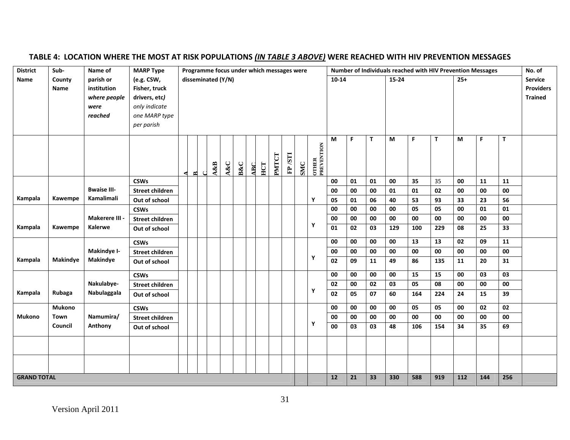| <b>District</b>    | Sub-            | Name of            | <b>MARP Type</b>       |   | Programme focus under which messages were |  |                    |     |                |            |     |       | Number of Individuals reached with HIV Prevention Messages |     |                     |                         |    |          |     |                |     | No. of |     |                  |                |
|--------------------|-----------------|--------------------|------------------------|---|-------------------------------------------|--|--------------------|-----|----------------|------------|-----|-------|------------------------------------------------------------|-----|---------------------|-------------------------|----|----------|-----|----------------|-----|--------|-----|------------------|----------------|
| Name               | County          | parish or          | (e.g. CSW,             |   |                                           |  | disseminated (Y/N) |     |                |            |     |       |                                                            |     |                     | 10-14<br>15-24<br>$25+$ |    |          |     | <b>Service</b> |     |        |     |                  |                |
|                    | Name            | institution        | Fisher, truck          |   |                                           |  |                    |     |                |            |     |       |                                                            |     |                     |                         |    |          |     |                |     |        |     | <b>Providers</b> |                |
|                    |                 | where people       | drivers, etc)          |   |                                           |  |                    |     |                |            |     |       |                                                            |     |                     |                         |    |          |     |                |     |        |     |                  | <b>Trained</b> |
|                    |                 | were               | only indicate          |   |                                           |  |                    |     |                |            |     |       |                                                            |     |                     |                         |    |          |     |                |     |        |     |                  |                |
|                    |                 | reached            | one MARP type          |   |                                           |  |                    |     |                |            |     |       |                                                            |     |                     |                         |    |          |     |                |     |        |     |                  |                |
|                    |                 |                    | per parish             |   |                                           |  |                    |     |                |            |     |       |                                                            |     |                     |                         |    |          |     |                |     |        |     |                  |                |
|                    |                 |                    |                        |   |                                           |  | A&B                | A&C | <b>B&amp;C</b> | <b>ABC</b> | HCT | PMTCT | FP/STI                                                     | SMC | OTHER<br>PREVENTION | M                       | F  | т        | M   | F.             | T   | M      | F   | T                |                |
|                    |                 |                    | <b>CSWs</b>            | ◀ | $\approx$                                 |  |                    |     |                |            |     |       |                                                            |     |                     | 00                      | 01 | $\bf 01$ | 00  | 35             | 35  | 00     | 11  | 11               |                |
|                    |                 | <b>Bwaise III-</b> | <b>Street children</b> |   |                                           |  |                    |     |                |            |     |       |                                                            |     |                     | 00                      | 00 | 00       | 01  | 01             | 02  | 00     | 00  | 00               |                |
| Kampala            | Kawempe         | Kamalimali         | Out of school          |   |                                           |  |                    |     |                |            |     |       |                                                            |     | Υ                   | 05                      | 01 | 06       | 40  | 53             | 93  | 33     | 23  | 56               |                |
|                    |                 |                    | <b>CSWs</b>            |   |                                           |  |                    |     |                |            |     |       |                                                            |     |                     | 00                      | 00 | 00       | 00  | 05             | 05  | 00     | 01  | 01               |                |
|                    |                 | Makerere III -     | <b>Street children</b> |   |                                           |  |                    |     |                |            |     |       |                                                            |     |                     | 00                      | 00 | 00       | 00  | 00             | 00  | 00     | 00  | 00               |                |
| Kampala            | Kawempe         | Kalerwe            | Out of school          |   |                                           |  |                    |     |                |            |     |       |                                                            |     | Υ                   | 01                      | 02 | 03       | 129 | 100            | 229 | 08     | 25  | 33               |                |
|                    |                 |                    | <b>CSWs</b>            |   |                                           |  |                    |     |                |            |     |       |                                                            |     |                     | 00                      | 00 | 00       | 00  | 13             | 13  | 02     | 09  | 11               |                |
|                    |                 | Makindye I-        | <b>Street children</b> |   |                                           |  |                    |     |                |            |     |       |                                                            |     |                     | 00                      | 00 | 00       | 00  | 00             | 00  | 00     | 00  | 00               |                |
| Kampala            | <b>Makindye</b> | <b>Makindye</b>    | Out of school          |   |                                           |  |                    |     |                |            |     |       |                                                            |     | Υ                   | $\overline{02}$         | 09 | 11       | 49  | 86             | 135 | 11     | 20  | 31               |                |
|                    |                 |                    | <b>CSWs</b>            |   |                                           |  |                    |     |                |            |     |       |                                                            |     |                     | 00                      | 00 | 00       | 00  | 15             | 15  | 00     | 03  | 03               |                |
|                    |                 | Nakulabye-         | <b>Street children</b> |   |                                           |  |                    |     |                |            |     |       |                                                            |     |                     | 02                      | 00 | 02       | 03  | 05             | 08  | 00     | 00  | 00               |                |
| Kampala            | Rubaga          | Nabulaggala        | Out of school          |   |                                           |  |                    |     |                |            |     |       |                                                            |     | Υ                   | 02                      | 05 | 07       | 60  | 164            | 224 | 24     | 15  | 39               |                |
|                    | Mukono          |                    | <b>CSWs</b>            |   |                                           |  |                    |     |                |            |     |       |                                                            |     |                     | 00                      | 00 | 00       | 00  | 05             | 05  | 00     | 02  | 02               |                |
| <b>Mukono</b>      | Town            | Namumira/          | <b>Street children</b> |   |                                           |  |                    |     |                |            |     |       |                                                            |     |                     | 00                      | 00 | 00       | 00  | 00             | 00  | 00     | 00  | 00               |                |
|                    | Council         | Anthony            | Out of school          |   |                                           |  |                    |     |                |            |     |       |                                                            |     | Y                   | 00                      | 03 | 03       | 48  | 106            | 154 | 34     | 35  | 69               |                |
|                    |                 |                    |                        |   |                                           |  |                    |     |                |            |     |       |                                                            |     |                     |                         |    |          |     |                |     |        |     |                  |                |
|                    |                 |                    |                        |   |                                           |  |                    |     |                |            |     |       |                                                            |     |                     |                         |    |          |     |                |     |        |     |                  |                |
|                    |                 |                    |                        |   |                                           |  |                    |     |                |            |     |       |                                                            |     |                     |                         |    |          |     |                |     |        |     |                  |                |
| <b>GRAND TOTAL</b> |                 |                    |                        |   |                                           |  |                    |     |                |            |     |       |                                                            |     |                     | ${\bf 12}$              | 21 | 33       | 330 | 588            | 919 | 112    | 144 | 256              |                |

# **TABLE 4: LOCATION WHERE THE MOST AT RISK POPULATIONS** *(IN TABLE 3 ABOVE)* **WERE REACHED WITH HIV PREVENTION MESSAGES**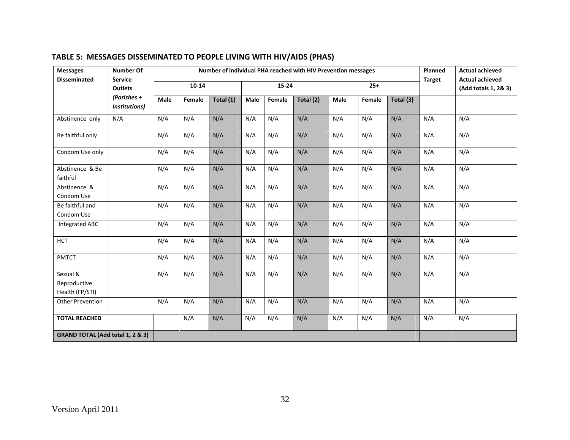| <b>Messages</b>                             | <b>Number Of</b>                 | Number of individual PHA reached with HIV Prevention messages |           |           |      |           |           |      |        |           | Planned       | <b>Actual achieved</b>                         |
|---------------------------------------------|----------------------------------|---------------------------------------------------------------|-----------|-----------|------|-----------|-----------|------|--------|-----------|---------------|------------------------------------------------|
| <b>Disseminated</b>                         | <b>Service</b><br><b>Outlets</b> |                                                               | $10 - 14$ |           |      | $15 - 24$ |           |      | $25+$  |           | <b>Target</b> | <b>Actual achieved</b><br>(Add totals 1, 2& 3) |
|                                             | (Parishes +<br>Institutions)     | Male                                                          | Female    | Total (1) | Male | Female    | Total (2) | Male | Female | Total (3) |               |                                                |
| Abstinence only                             | N/A                              | N/A                                                           | N/A       | N/A       | N/A  | N/A       | N/A       | N/A  | N/A    | N/A       | N/A           | N/A                                            |
| Be faithful only                            |                                  | N/A                                                           | N/A       | N/A       | N/A  | N/A       | N/A       | N/A  | N/A    | N/A       | N/A           | N/A                                            |
| Condom Use only                             |                                  | N/A                                                           | N/A       | N/A       | N/A  | N/A       | N/A       | N/A  | N/A    | N/A       | N/A           | N/A                                            |
| Abstinence & Be<br>faithful                 |                                  | N/A                                                           | N/A       | N/A       | N/A  | N/A       | N/A       | N/A  | N/A    | N/A       | N/A           | N/A                                            |
| Abstinence &<br>Condom Use                  |                                  | N/A                                                           | N/A       | N/A       | N/A  | N/A       | N/A       | N/A  | N/A    | N/A       | N/A           | N/A                                            |
| Be faithful and<br>Condom Use               |                                  | N/A                                                           | N/A       | N/A       | N/A  | N/A       | N/A       | N/A  | N/A    | N/A       | N/A           | N/A                                            |
| <b>Integrated ABC</b>                       |                                  | N/A                                                           | N/A       | N/A       | N/A  | N/A       | N/A       | N/A  | N/A    | N/A       | N/A           | N/A                                            |
| <b>HCT</b>                                  |                                  | N/A                                                           | N/A       | N/A       | N/A  | N/A       | N/A       | N/A  | N/A    | N/A       | N/A           | N/A                                            |
| <b>PMTCT</b>                                |                                  | N/A                                                           | N/A       | N/A       | N/A  | N/A       | N/A       | N/A  | N/A    | N/A       | N/A           | N/A                                            |
| Sexual &<br>Reproductive<br>Health (FP/STI) |                                  | N/A                                                           | N/A       | N/A       | N/A  | N/A       | N/A       | N/A  | N/A    | N/A       | N/A           | N/A                                            |
| Other Prevention                            |                                  | N/A                                                           | N/A       | N/A       | N/A  | N/A       | N/A       | N/A  | N/A    | N/A       | N/A           | N/A                                            |
| <b>TOTAL REACHED</b>                        |                                  |                                                               | N/A       | N/A       | N/A  | N/A       | N/A       | N/A  | N/A    | N/A       | N/A           | N/A                                            |
| <b>GRAND TOTAL (Add total 1, 2 &amp; 3)</b> |                                  |                                                               |           |           |      |           |           |      |        |           |               |                                                |

# **TABLE 5: MESSAGES DISSEMINATED TO PEOPLE LIVING WITH HIV/AIDS (PHAS)**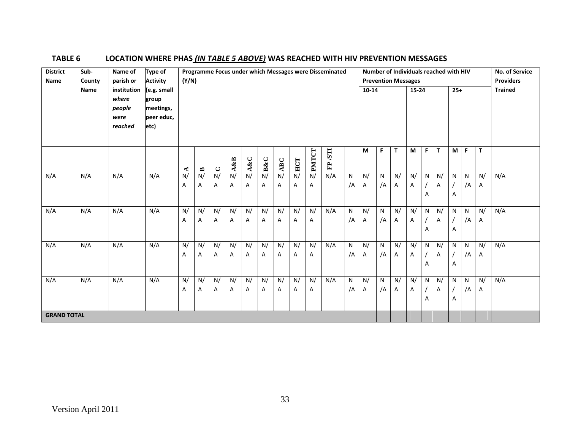| <b>District</b><br>Name | Sub-<br>County | Name of<br>parish or                              | Type of<br><b>Activity</b>                              |                     | Number of Individuals reached with HIV<br>Programme Focus under which Messages were Disseminated<br>(Y/N)<br><b>Prevention Messages</b> |                     |         |                     |                     |         |                     |              |                  |                    |           | <b>No. of Service</b><br><b>Providers</b> |         |         |                     |              |                |                    |                    |     |
|-------------------------|----------------|---------------------------------------------------|---------------------------------------------------------|---------------------|-----------------------------------------------------------------------------------------------------------------------------------------|---------------------|---------|---------------------|---------------------|---------|---------------------|--------------|------------------|--------------------|-----------|-------------------------------------------|---------|---------|---------------------|--------------|----------------|--------------------|--------------------|-----|
|                         | Name           | institution<br>where<br>people<br>were<br>reached | (e.g. small<br>group<br>meetings,<br>peer educ,<br>etc) |                     | 10-14                                                                                                                                   |                     |         |                     |                     |         |                     |              |                  |                    | $15 - 24$ |                                           |         | $25+$   |                     |              | <b>Trained</b> |                    |                    |     |
|                         |                |                                                   |                                                         | ∢                   | $\bullet$                                                                                                                               | $\cup$              | A&B     | A&C                 | <b>B&amp;C</b>      | ABC     | HCT                 | <b>PMTCT</b> | <b>ILSI</b><br>쉽 |                    | M         | F.                                        | T.      | M       | F                   | $\mathbf{T}$ | M              | F                  | $\mathbf{T}$       |     |
| N/A                     | N/A            | N/A                                               | N/A                                                     | $\overline{N}$<br>Α | N/<br>A                                                                                                                                 | $\overline{N}$<br>Α | N/<br>A | $\overline{N}$<br>A | $\overline{N}$<br>A | N/<br>Α | $\overline{N}$<br>А | N/<br>Α      | N/A              | $\mathsf{N}$<br>/A | N/<br>A   | $\mathsf{N}$<br>/A                        | N/<br>Α | N/<br>Α | ${\sf N}$<br>A      | N/<br>Α      | N<br>А         | $\mathsf{N}$<br>/A | N/<br>$\mathsf{A}$ | N/A |
| N/A                     | N/A            | N/A                                               | N/A                                                     | N/<br>Α             | N/<br>А                                                                                                                                 | N/<br>Α             | N/<br>Α | N/<br>Α             | N/<br>A             | N/<br>Α | N/<br>А             | N/<br>Α      | N/A              | $\mathsf{N}$<br>/A | N/<br>A   | N<br>/A                                   | N/<br>Α | N/<br>Α | N<br>$\overline{A}$ | N/<br>Α      | N<br>Α         | N<br>/A            | N/<br>A            | N/A |
| N/A                     | N/A            | N/A                                               | N/A                                                     | N/<br>Α             | N/<br>Α                                                                                                                                 | N/<br>Α             | N/<br>Α | N/<br>Α             | N/<br>Α             | N/<br>Α | N/<br>Α             | N/<br>A      | N/A              | ${\sf N}$<br>/A    | N/<br>A   | N<br>/A                                   | N/<br>Α | N/<br>Α | N<br>Α              | N/<br>Α      | N<br>Α         | N<br>/A            | N/<br>$\mathsf{A}$ | N/A |
| N/A                     | N/A            | N/A                                               | N/A                                                     | N/<br>Α             | N/<br>Α                                                                                                                                 | N/<br>Α             | N/<br>Α | N/<br>Α             | N/<br>Α             | N/<br>Α | N/<br>Α             | N/<br>A      | N/A              | $\mathsf{N}$<br>/A | N/<br>A   | N<br>/A                                   | N/<br>Α | N/<br>Α | N<br>Α              | N/<br>Α      | N<br>Α         | N<br>/A            | N/<br>A            | N/A |
| <b>GRAND TOTAL</b>      |                |                                                   |                                                         |                     |                                                                                                                                         |                     |         |                     |                     |         |                     |              |                  |                    |           |                                           |         |         |                     |              |                |                    |                    |     |

# **TABLE 6 LOCATION WHERE PHAS** *(IN TABLE 5 ABOVE)* **WAS REACHED WITH HIV PREVENTION MESSAGES**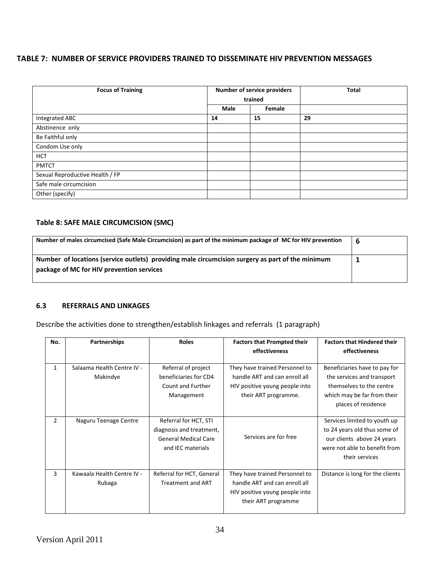### **TABLE 7: NUMBER OF SERVICE PROVIDERS TRAINED TO DISSEMINATE HIV PREVENTION MESSAGES**

| <b>Focus of Training</b>        |      | <b>Number of service providers</b><br>trained | <b>Total</b> |
|---------------------------------|------|-----------------------------------------------|--------------|
|                                 | Male | Female                                        |              |
| Integrated ABC                  | 14   | 15                                            | 29           |
| Abstinence only                 |      |                                               |              |
| Be Faithful only                |      |                                               |              |
| Condom Use only                 |      |                                               |              |
| <b>HCT</b>                      |      |                                               |              |
| <b>PMTCT</b>                    |      |                                               |              |
| Sexual Reproductive Health / FP |      |                                               |              |
| Safe male circumcision          |      |                                               |              |
| Other (specify)                 |      |                                               |              |

# **Table 8: SAFE MALE CIRCUMCISION (SMC)**

| Number of males circumcised (Safe Male Circumcision) as part of the minimum package of MC for HIV prevention | -6 |
|--------------------------------------------------------------------------------------------------------------|----|
| Number of locations (service outlets) providing male circumcision surgery as part of the minimum             |    |
| package of MC for HIV prevention services                                                                    |    |

### **6.3 REFERRALS AND LINKAGES**

Describe the activities done to strengthen/establish linkages and referrals (1 paragraph)

| No.            | Partnerships                           | <b>Roles</b>                                                                                          | <b>Factors that Prompted their</b>                                                                                        | <b>Factors that Hindered their</b>                                                                                                            |
|----------------|----------------------------------------|-------------------------------------------------------------------------------------------------------|---------------------------------------------------------------------------------------------------------------------------|-----------------------------------------------------------------------------------------------------------------------------------------------|
|                |                                        |                                                                                                       | effectiveness                                                                                                             | effectiveness                                                                                                                                 |
| $\mathbf{1}$   | Salaama Health Centre IV -<br>Makindye | Referral of project<br>beneficiaries for CD4<br>Count and Further<br>Management                       | They have trained Personnel to<br>handle ART and can enroll all<br>HIV positive young people into<br>their ART programme. | Beneficiaries have to pay for<br>the services and transport<br>themselves to the centre<br>which may be far from their<br>places of residence |
| $\overline{2}$ | Naguru Teenage Centre                  | Referral for HCT, STI<br>diagnosis and treatment,<br><b>General Medical Care</b><br>and IEC materials | Services are for free                                                                                                     | Services limited to youth up<br>to 24 years old thus some of<br>our clients above 24 years<br>were not able to benefit from<br>their services |
| 3              | Kawaala Health Centre IV -<br>Rubaga   | Referral for HCT, General<br><b>Treatment and ART</b>                                                 | They have trained Personnel to<br>handle ART and can enroll all<br>HIV positive young people into<br>their ART programme  | Distance is long for the clients                                                                                                              |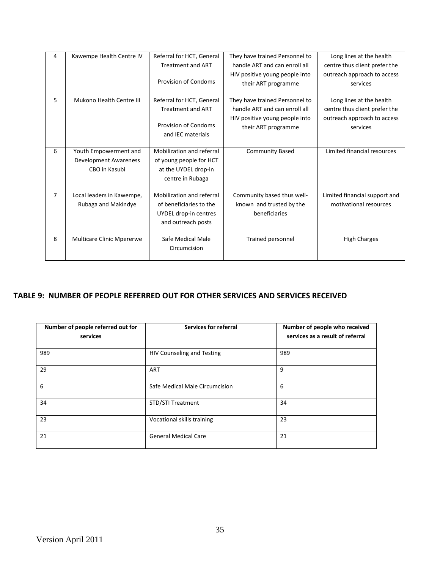| 4 | Kawempe Health Centre IV     | Referral for HCT, General   | They have trained Personnel to | Long lines at the health      |
|---|------------------------------|-----------------------------|--------------------------------|-------------------------------|
|   |                              | <b>Treatment and ART</b>    | handle ART and can enroll all  | centre thus client prefer the |
|   |                              |                             | HIV positive young people into | outreach approach to access   |
|   |                              | <b>Provision of Condoms</b> | their ART programme            | services                      |
|   |                              |                             |                                |                               |
| 5 | Mukono Health Centre III     | Referral for HCT, General   | They have trained Personnel to | Long lines at the health      |
|   |                              | <b>Treatment and ART</b>    | handle ART and can enroll all  | centre thus client prefer the |
|   |                              |                             | HIV positive young people into | outreach approach to access   |
|   |                              | <b>Provision of Condoms</b> | their ART programme            | services                      |
|   |                              | and IEC materials           |                                |                               |
|   |                              |                             |                                |                               |
| 6 | Youth Empowerment and        | Mobilization and referral   | <b>Community Based</b>         | Limited financial resources   |
|   | <b>Development Awareness</b> | of young people for HCT     |                                |                               |
|   | CBO in Kasubi                | at the UYDEL drop-in        |                                |                               |
|   |                              | centre in Rubaga            |                                |                               |
|   |                              |                             |                                |                               |
| 7 | Local leaders in Kawempe,    | Mobilization and referral   | Community based thus well-     | Limited financial support and |
|   | Rubaga and Makindye          | of beneficiaries to the     | known and trusted by the       | motivational resources        |
|   |                              | UYDEL drop-in centres       | beneficiaries                  |                               |
|   |                              | and outreach posts          |                                |                               |
|   |                              |                             |                                |                               |
| 8 | Multicare Clinic Mpererwe    | Safe Medical Male           | Trained personnel              | <b>High Charges</b>           |
|   |                              | Circumcision                |                                |                               |
|   |                              |                             |                                |                               |

# **TABLE 9: NUMBER OF PEOPLE REFERRED OUT FOR OTHER SERVICES AND SERVICES RECEIVED**

| Number of people referred out for<br>services | <b>Services for referral</b>      | Number of people who received<br>services as a result of referral |
|-----------------------------------------------|-----------------------------------|-------------------------------------------------------------------|
| 989                                           | <b>HIV Counseling and Testing</b> | 989                                                               |
| 29                                            | ART                               | 9                                                                 |
| 6                                             | Safe Medical Male Circumcision    | 6                                                                 |
| 34                                            | <b>STD/STI Treatment</b>          | 34                                                                |
| 23                                            | Vocational skills training        | 23                                                                |
| 21                                            | <b>General Medical Care</b>       | 21                                                                |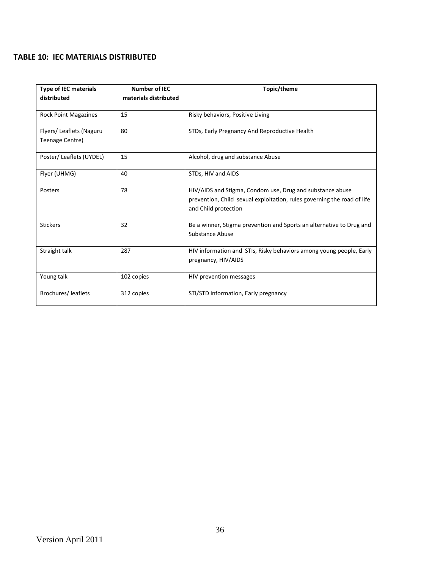# **TABLE 10: IEC MATERIALS DISTRIBUTED**

| <b>Type of IEC materials</b><br>distributed | <b>Number of IEC</b><br>materials distributed | Topic/theme                                                                                                                                                  |
|---------------------------------------------|-----------------------------------------------|--------------------------------------------------------------------------------------------------------------------------------------------------------------|
| <b>Rock Point Magazines</b>                 | 15                                            | Risky behaviors, Positive Living                                                                                                                             |
| Flyers/Leaflets (Naguru<br>Teenage Centre)  | 80                                            | STDs, Early Pregnancy And Reproductive Health                                                                                                                |
| Poster/Leaflets (UYDEL)                     | 15                                            | Alcohol, drug and substance Abuse                                                                                                                            |
| Flyer (UHMG)                                | 40                                            | STDs, HIV and AIDS                                                                                                                                           |
| Posters                                     | 78                                            | HIV/AIDS and Stigma, Condom use, Drug and substance abuse<br>prevention, Child sexual exploitation, rules governing the road of life<br>and Child protection |
| <b>Stickers</b>                             | 32                                            | Be a winner, Stigma prevention and Sports an alternative to Drug and<br>Substance Abuse                                                                      |
| Straight talk                               | 287                                           | HIV information and STIs, Risky behaviors among young people, Early<br>pregnancy, HIV/AIDS                                                                   |
| Young talk                                  | 102 copies                                    | HIV prevention messages                                                                                                                                      |
| Brochures/leaflets                          | 312 copies                                    | STI/STD information, Early pregnancy                                                                                                                         |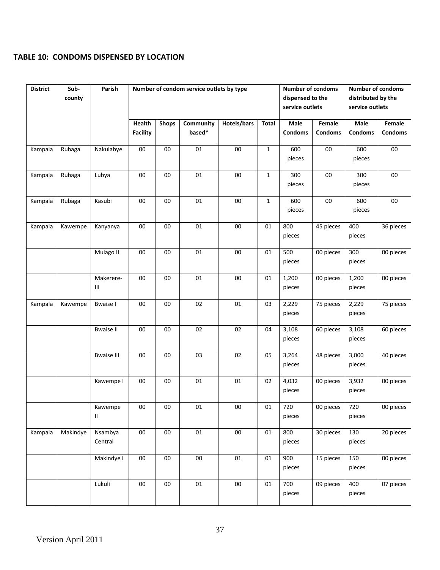# **TABLE 10: CONDOMS DISPENSED BY LOCATION**

| <b>District</b> | Sub-<br>county | Parish                   |                           |              | Number of condom service outlets by type |             | <b>Number of condoms</b><br><b>Number of condoms</b><br>dispensed to the<br>distributed by the<br>service outlets<br>service outlets |                        |                          |                        |                          |
|-----------------|----------------|--------------------------|---------------------------|--------------|------------------------------------------|-------------|--------------------------------------------------------------------------------------------------------------------------------------|------------------------|--------------------------|------------------------|--------------------------|
|                 |                |                          | Health<br><b>Facility</b> | <b>Shops</b> | Community<br>based*                      | Hotels/bars | Total                                                                                                                                | Male<br><b>Condoms</b> | Female<br><b>Condoms</b> | Male<br><b>Condoms</b> | Female<br><b>Condoms</b> |
| Kampala         | Rubaga         | Nakulabye                | $00\,$                    | 00           | 01                                       | $00\,$      | $\mathbf{1}$                                                                                                                         | 600<br>pieces          | $00\,$                   | 600<br>pieces          | $00\,$                   |
| Kampala         | Rubaga         | Lubya                    | $00\,$                    | 00           | 01                                       | $00\,$      | $\mathbf{1}$                                                                                                                         | 300<br>pieces          | $00\,$                   | 300<br>pieces          | $00\,$                   |
| Kampala         | Rubaga         | Kasubi                   | $00\,$                    | 00           | 01                                       | $00\,$      | $\mathbf{1}$                                                                                                                         | 600<br>pieces          | $00\,$                   | 600<br>pieces          | $00\,$                   |
| Kampala         | Kawempe        | Kanyanya                 | ${\bf 00}$                | $00\,$       | 01                                       | $00\,$      | 01                                                                                                                                   | 800<br>pieces          | 45 pieces                | 400<br>pieces          | 36 pieces                |
|                 |                | Mulago II                | $00\,$                    | 00           | 01                                       | $00\,$      | 01                                                                                                                                   | 500<br>pieces          | 00 pieces                | 300<br>pieces          | 00 pieces                |
|                 |                | Makerere-<br>Ш           | 00                        | 00           | 01                                       | $00\,$      | 01                                                                                                                                   | 1,200<br>pieces        | 00 pieces                | 1,200<br>pieces        | 00 pieces                |
| Kampala         | Kawempe        | <b>Bwaise I</b>          | $00\,$                    | 00           | 02                                       | 01          | 03                                                                                                                                   | 2,229<br>pieces        | 75 pieces                | 2,229<br>pieces        | 75 pieces                |
|                 |                | <b>Bwaise II</b>         | $00\,$                    | 00           | 02                                       | 02          | 04                                                                                                                                   | 3,108<br>pieces        | 60 pieces                | 3,108<br>pieces        | 60 pieces                |
|                 |                | <b>Bwaise III</b>        | $00\,$                    | $00\,$       | 03                                       | 02          | 05                                                                                                                                   | 3,264<br>pieces        | 48 pieces                | 3,000<br>pieces        | 40 pieces                |
|                 |                | Kawempe I                | 00                        | ${\bf 00}$   | 01                                       | 01          | 02                                                                                                                                   | 4,032<br>pieces        | 00 pieces                | 3,932<br>pieces        | 00 pieces                |
|                 |                | Kawempe<br>$\mathbf{II}$ | 00                        | 00           | 01                                       | $00\,$      | $01\,$                                                                                                                               | 720<br>pieces          | 00 pieces                | 720<br>pieces          | $\overline{00}$ pieces   |
| Kampala         | Makindye       | Nsambya<br>Central       | ${\bf 00}$                | ${\bf 00}$   | 01                                       | ${\bf 00}$  | 01                                                                                                                                   | 800<br>pieces          | 30 pieces                | 130<br>pieces          | 20 pieces                |
|                 |                | Makindye I               | $00\,$                    | $00\,$       | $00\,$                                   | 01          | 01                                                                                                                                   | 900<br>pieces          | 15 pieces                | 150<br>pieces          | 00 pieces                |
|                 |                | Lukuli                   | $00\,$                    | ${\bf 00}$   | $01\,$                                   | $00\,$      | 01                                                                                                                                   | 700<br>pieces          | 09 pieces                | 400<br>pieces          | 07 pieces                |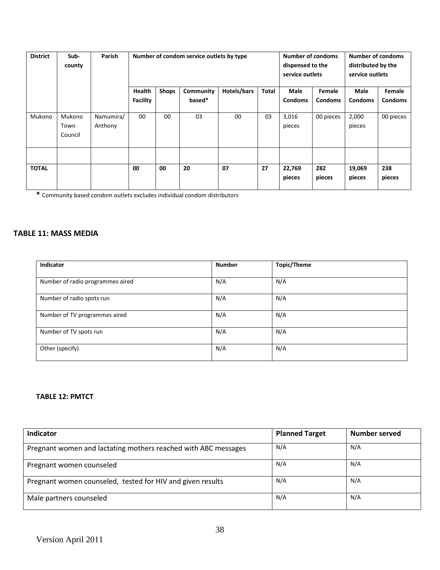| <b>District</b> | Sub-<br>county            | Parish               |                 | Number of condom service outlets by type | <b>Number of condoms</b><br>dispensed to the<br>service outlets | <b>Number of condoms</b><br>distributed by the<br>service outlets |       |                  |                |                  |                |
|-----------------|---------------------------|----------------------|-----------------|------------------------------------------|-----------------------------------------------------------------|-------------------------------------------------------------------|-------|------------------|----------------|------------------|----------------|
|                 |                           |                      | <b>Health</b>   | <b>Shops</b>                             | Community                                                       | Hotels/bars                                                       | Total | <b>Male</b>      | Female         | Male             | Female         |
|                 |                           |                      | <b>Facility</b> |                                          | based*                                                          |                                                                   |       | <b>Condoms</b>   | <b>Condoms</b> | <b>Condoms</b>   | <b>Condoms</b> |
| Mukono          | Mukono<br>Town<br>Council | Namumira/<br>Anthony | $00\,$          | 00                                       | 03                                                              | $00\,$                                                            | 03    | 3,016<br>pieces  | 00 pieces      | 2,000<br>pieces  | 00 pieces      |
|                 |                           |                      |                 |                                          |                                                                 |                                                                   |       |                  |                |                  |                |
| <b>TOTAL</b>    |                           |                      | 00              | 00                                       | 20                                                              | 07                                                                | 27    | 22,769<br>pieces | 282<br>pieces  | 19,069<br>pieces | 238<br>pieces  |

**\*** Community based condom outlets excludes individual condom distributors

# **TABLE 11: MASS MEDIA**

| <b>Indicator</b>                 | <b>Number</b> | Topic/Theme |
|----------------------------------|---------------|-------------|
| Number of radio programmes aired | N/A           | N/A         |
| Number of radio spots run        | N/A           | N/A         |
| Number of TV programmes aired    | N/A           | N/A         |
| Number of TV spots run           | N/A           | N/A         |
| Other (specify)                  | N/A           | N/A         |

### **TABLE 12: PMTCT**

| Indicator                                                      | <b>Planned Target</b> | Number served |
|----------------------------------------------------------------|-----------------------|---------------|
| Pregnant women and lactating mothers reached with ABC messages | N/A                   | N/A           |
| Pregnant women counseled                                       | N/A                   | N/A           |
| Pregnant women counseled, tested for HIV and given results     | N/A                   | N/A           |
| Male partners counseled                                        | N/A                   | N/A           |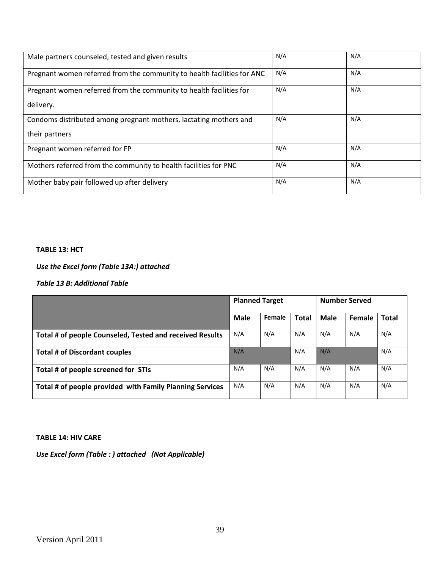| Male partners counseled, tested and given results                       | N/A | N/A |
|-------------------------------------------------------------------------|-----|-----|
| Pregnant women referred from the community to health facilities for ANC | N/A | N/A |
| Pregnant women referred from the community to health facilities for     | N/A | N/A |
| delivery.                                                               |     |     |
| Condoms distributed among pregnant mothers, lactating mothers and       | N/A | N/A |
| their partners                                                          |     |     |
| Pregnant women referred for FP                                          | N/A | N/A |
| Mothers referred from the community to health facilities for PNC        | N/A | N/A |
| Mother baby pair followed up after delivery                             | N/A | N/A |

### **TABLE 13: HCT**

# *Use the Excel form (Table 13A:) attached*

*Table 13 B: Additional Table*

|                                                          | <b>Planned Target</b> |        |              |             | <b>Number Served</b> |              |
|----------------------------------------------------------|-----------------------|--------|--------------|-------------|----------------------|--------------|
|                                                          | Male                  | Female | <b>Total</b> | <b>Male</b> | Female               | <b>Total</b> |
| Total # of people Counseled, Tested and received Results | N/A                   | N/A    | N/A          | N/A         | N/A                  | N/A          |
| <b>Total # of Discordant couples</b>                     | N/A                   |        | N/A          | N/A         |                      | N/A          |
| Total # of people screened for STIs                      | N/A                   | N/A    | N/A          | N/A         | N/A                  | N/A          |
| Total # of people provided with Family Planning Services | N/A                   | N/A    | N/A          | N/A         | N/A                  | N/A          |

#### **TABLE 14: HIV CARE**

*Use Excel form (Table : ) attached (Not Applicable)*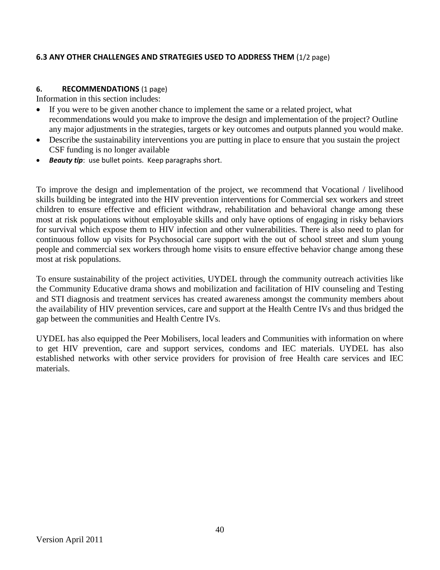## **6.3 ANY OTHER CHALLENGES AND STRATEGIES USED TO ADDRESS THEM** (1/2 page)

### **6. RECOMMENDATIONS** (1 page)

Information in this section includes:

- If you were to be given another chance to implement the same or a related project, what recommendations would you make to improve the design and implementation of the project? Outline any major adjustments in the strategies, targets or key outcomes and outputs planned you would make.
- Describe the sustainability interventions you are putting in place to ensure that you sustain the project CSF funding is no longer available
- *Beauty tip*: use bullet points. Keep paragraphs short.

To improve the design and implementation of the project, we recommend that Vocational / livelihood skills building be integrated into the HIV prevention interventions for Commercial sex workers and street children to ensure effective and efficient withdraw, rehabilitation and behavioral change among these most at risk populations without employable skills and only have options of engaging in risky behaviors for survival which expose them to HIV infection and other vulnerabilities. There is also need to plan for continuous follow up visits for Psychosocial care support with the out of school street and slum young people and commercial sex workers through home visits to ensure effective behavior change among these most at risk populations.

To ensure sustainability of the project activities, UYDEL through the community outreach activities like the Community Educative drama shows and mobilization and facilitation of HIV counseling and Testing and STI diagnosis and treatment services has created awareness amongst the community members about the availability of HIV prevention services, care and support at the Health Centre IVs and thus bridged the gap between the communities and Health Centre IVs.

UYDEL has also equipped the Peer Mobilisers, local leaders and Communities with information on where to get HIV prevention, care and support services, condoms and IEC materials. UYDEL has also established networks with other service providers for provision of free Health care services and IEC materials.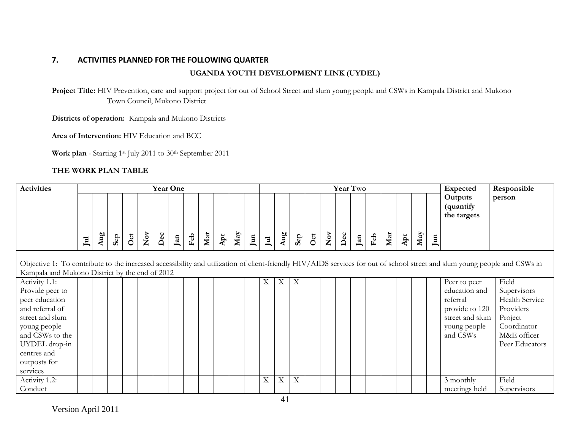# **7. ACTIVITIES PLANNED FOR THE FOLLOWING QUARTER**

# **UGANDA YOUTH DEVELOPMENT LINK (UYDEL)**

**Project Title:** HIV Prevention, care and support project for out of School Street and slum young people and CSWs in Kampala District and Mukono Town Council, Mukono District

**Districts of operation:** Kampala and Mukono Districts

**Area of Intervention:** HIV Education and BCC

Work plan - Starting 1<sup>st</sup> July 2011 to 30<sup>th</sup> September 2011

### **THE WORK PLAN TABLE**

| <b>Activities</b>                                                                                                                                                                                                           |                                     |     |     |     |                  | <b>Year One</b> |     |                 |     |                             |     |               |                           |         |                           |     |                         |                | <b>Year Two</b>   |                 |     |                         |     |                 | Expected                                                                                                   | Responsible                                                                                                    |
|-----------------------------------------------------------------------------------------------------------------------------------------------------------------------------------------------------------------------------|-------------------------------------|-----|-----|-----|------------------|-----------------|-----|-----------------|-----|-----------------------------|-----|---------------|---------------------------|---------|---------------------------|-----|-------------------------|----------------|-------------------|-----------------|-----|-------------------------|-----|-----------------|------------------------------------------------------------------------------------------------------------|----------------------------------------------------------------------------------------------------------------|
|                                                                                                                                                                                                                             | $\mathbf{I}^{\mathbf{u}\mathbf{l}}$ | Aug | Sep | Oct | $\sum_{i=1}^{N}$ | $\mathbf{Dec}$  | Jan | ${\rm \bf Feb}$ | Mar | $\boldsymbol{\mathrm{Apr}}$ | May | $\,$ Jun $\,$ | $\mathbf{J}$ ul           | Aug     | Sep                       | Oct | $\mathop{\mathsf{Nov}}$ | $\mathbf{Dec}$ | $_{\mathrm{Jan}}$ | ${\rm \bf Feb}$ | Mar | ${\bf A}{\bf p}{\bf r}$ | May | J <sub>un</sub> | Outputs<br>(quantify<br>the targets                                                                        | person                                                                                                         |
| Objective 1: To contribute to the increased accessibility and utilization of client-friendly HIV/AIDS services for out of school street and slum young people and CSWs in<br>Kampala and Mukono District by the end of 2012 |                                     |     |     |     |                  |                 |     |                 |     |                             |     |               |                           |         |                           |     |                         |                |                   |                 |     |                         |     |                 |                                                                                                            |                                                                                                                |
| Activity 1.1:<br>Provide peer to<br>peer education<br>and referral of<br>street and slum<br>young people<br>and CSWs to the<br>UYDEL drop-in<br>centres and<br>outposts for<br>services                                     |                                     |     |     |     |                  |                 |     |                 |     |                             |     |               | X                         | $X_{-}$ | $\boldsymbol{\mathrm{X}}$ |     |                         |                |                   |                 |     |                         |     |                 | Peer to peer<br>education and<br>referral<br>provide to 120<br>street and slum<br>young people<br>and CSWs | Field<br>Supervisors<br>Health Service<br>Providers<br>Project<br>Coordinator<br>M&E officer<br>Peer Educators |
| Activity 1.2:<br>Conduct                                                                                                                                                                                                    |                                     |     |     |     |                  |                 |     |                 |     |                             |     |               | $\boldsymbol{\mathrm{X}}$ | X       | $\mathbf X$               |     |                         |                |                   |                 |     |                         |     |                 | 3 monthly<br>meetings held                                                                                 | Field<br>Supervisors                                                                                           |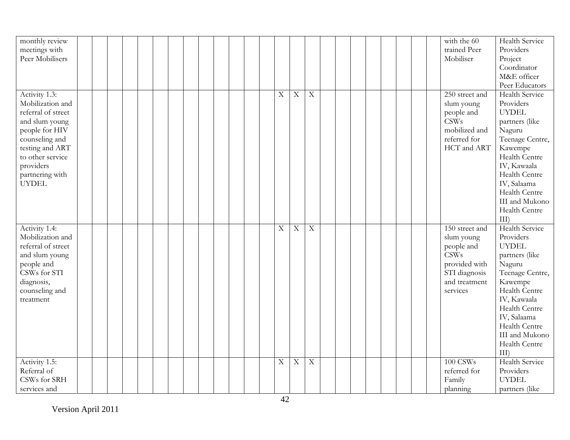| monthly review<br>meetings with<br>Peer Mobilisers                                                                                                                                                   |  |  |  |  |  |  |             |                |                |  |  |  |  | with the 60<br>trained Peer<br>Mobiliser                                                                                 | Health Service<br>Providers<br>Project<br>Coordinator<br>M&E officer<br>Peer Educators                                                                                                                                                  |
|------------------------------------------------------------------------------------------------------------------------------------------------------------------------------------------------------|--|--|--|--|--|--|-------------|----------------|----------------|--|--|--|--|--------------------------------------------------------------------------------------------------------------------------|-----------------------------------------------------------------------------------------------------------------------------------------------------------------------------------------------------------------------------------------|
| Activity 1.3:<br>Mobilization and<br>referral of street<br>and slum young<br>people for HIV<br>counseling and<br>testing and ART<br>to other service<br>providers<br>partnering with<br><b>UYDEL</b> |  |  |  |  |  |  | $\mathbf X$ | $\overline{X}$ | $\overline{X}$ |  |  |  |  | 250 street and<br>slum young<br>people and<br>CSWs<br>mobilized and<br>referred for<br>HCT and ART                       | <b>Health Service</b><br>Providers<br><b>UYDEL</b><br>partners (like<br>Naguru<br>Teenage Centre,<br>Kawempe<br>Health Centre<br>IV, Kawaala<br>Health Centre<br>IV, Salaama<br>Health Centre<br>III and Mukono<br>Health Centre<br>III |
| Activity 1.4:<br>Mobilization and<br>referral of street<br>and slum young<br>people and<br>CSWs for STI<br>diagnosis,<br>counseling and<br>treatment                                                 |  |  |  |  |  |  | X           | $\mathbf X$    | $\mathbf X$    |  |  |  |  | 150 street and<br>slum young<br>people and<br><b>CSWs</b><br>provided with<br>STI diagnosis<br>and treatment<br>services | <b>Health Service</b><br>Providers<br><b>UYDEL</b><br>partners (like<br>Naguru<br>Teenage Centre,<br>Kawempe<br>Health Centre<br>IV, Kawaala<br>Health Centre<br>IV, Salaama<br>Health Centre<br>III and Mukono<br>Health Centre<br>III |
| Activity 1.5:<br>Referral of<br>CSWs for SRH<br>services and                                                                                                                                         |  |  |  |  |  |  | X           | $\mathbf X$    | $\mathbf X$    |  |  |  |  | 100 CSWs<br>referred for<br>Family<br>planning                                                                           | <b>Health Service</b><br>Providers<br><b>UYDEL</b><br>partners (like                                                                                                                                                                    |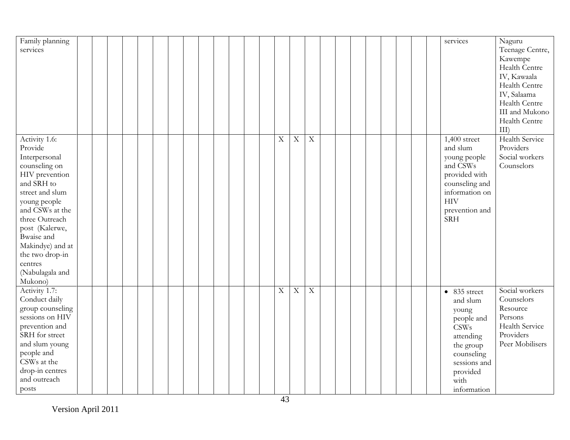| Family planning  |  |  |  |  |  |  |                |                         |                         |  |  |  |  | services             | Naguru                |
|------------------|--|--|--|--|--|--|----------------|-------------------------|-------------------------|--|--|--|--|----------------------|-----------------------|
| services         |  |  |  |  |  |  |                |                         |                         |  |  |  |  |                      | Teenage Centre,       |
|                  |  |  |  |  |  |  |                |                         |                         |  |  |  |  |                      | Kawempe               |
|                  |  |  |  |  |  |  |                |                         |                         |  |  |  |  |                      | Health Centre         |
|                  |  |  |  |  |  |  |                |                         |                         |  |  |  |  |                      | IV, Kawaala           |
|                  |  |  |  |  |  |  |                |                         |                         |  |  |  |  |                      | Health Centre         |
|                  |  |  |  |  |  |  |                |                         |                         |  |  |  |  |                      | IV, Salaama           |
|                  |  |  |  |  |  |  |                |                         |                         |  |  |  |  |                      | Health Centre         |
|                  |  |  |  |  |  |  |                |                         |                         |  |  |  |  |                      | III and Mukono        |
|                  |  |  |  |  |  |  |                |                         |                         |  |  |  |  |                      | Health Centre         |
|                  |  |  |  |  |  |  |                |                         |                         |  |  |  |  |                      | $III$ )               |
| Activity 1.6:    |  |  |  |  |  |  | $\overline{X}$ | $\overline{\mathbf{X}}$ | $\overline{\textbf{X}}$ |  |  |  |  | $1,400$ street       | <b>Health Service</b> |
| Provide          |  |  |  |  |  |  |                |                         |                         |  |  |  |  | and slum             | Providers             |
| Interpersonal    |  |  |  |  |  |  |                |                         |                         |  |  |  |  | young people         | Social workers        |
| counseling on    |  |  |  |  |  |  |                |                         |                         |  |  |  |  | and CSWs             | Counselors            |
| HIV prevention   |  |  |  |  |  |  |                |                         |                         |  |  |  |  | provided with        |                       |
| and SRH to       |  |  |  |  |  |  |                |                         |                         |  |  |  |  | counseling and       |                       |
| street and slum  |  |  |  |  |  |  |                |                         |                         |  |  |  |  | information on       |                       |
| young people     |  |  |  |  |  |  |                |                         |                         |  |  |  |  | <b>HIV</b>           |                       |
| and CSWs at the  |  |  |  |  |  |  |                |                         |                         |  |  |  |  | prevention and       |                       |
| three Outreach   |  |  |  |  |  |  |                |                         |                         |  |  |  |  | <b>SRH</b>           |                       |
| post (Kalerwe,   |  |  |  |  |  |  |                |                         |                         |  |  |  |  |                      |                       |
| Bwaise and       |  |  |  |  |  |  |                |                         |                         |  |  |  |  |                      |                       |
| Makindye) and at |  |  |  |  |  |  |                |                         |                         |  |  |  |  |                      |                       |
| the two drop-in  |  |  |  |  |  |  |                |                         |                         |  |  |  |  |                      |                       |
| centres          |  |  |  |  |  |  |                |                         |                         |  |  |  |  |                      |                       |
| (Nabulagala and  |  |  |  |  |  |  |                |                         |                         |  |  |  |  |                      |                       |
| Mukono)          |  |  |  |  |  |  |                |                         |                         |  |  |  |  |                      |                       |
| Activity 1.7:    |  |  |  |  |  |  | $\mathbf X$    | $\mathbf X$             | $\mathbf X$             |  |  |  |  | $\bullet$ 835 street | Social workers        |
| Conduct daily    |  |  |  |  |  |  |                |                         |                         |  |  |  |  | and slum             | Counselors            |
| group counseling |  |  |  |  |  |  |                |                         |                         |  |  |  |  | young                | Resource              |
| sessions on HIV  |  |  |  |  |  |  |                |                         |                         |  |  |  |  | people and           | Persons               |
| prevention and   |  |  |  |  |  |  |                |                         |                         |  |  |  |  | CSWs                 | Health Service        |
| SRH for street   |  |  |  |  |  |  |                |                         |                         |  |  |  |  | attending            | Providers             |
| and slum young   |  |  |  |  |  |  |                |                         |                         |  |  |  |  | the group            | Peer Mobilisers       |
| people and       |  |  |  |  |  |  |                |                         |                         |  |  |  |  | counseling           |                       |
| CSWs at the      |  |  |  |  |  |  |                |                         |                         |  |  |  |  | sessions and         |                       |
| drop-in centres  |  |  |  |  |  |  |                |                         |                         |  |  |  |  | provided             |                       |
| and outreach     |  |  |  |  |  |  |                |                         |                         |  |  |  |  | with                 |                       |
| posts            |  |  |  |  |  |  |                |                         |                         |  |  |  |  | information          |                       |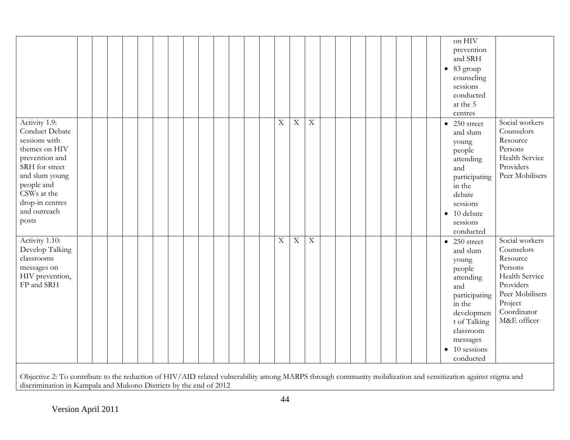|                                                                                                                                                                                                  |  |  |  |  |  |  |             |                         |                |  |  |  | on HIV<br>prevention<br>and SRH<br>$\bullet$ 83 group<br>counseling<br>sessions<br>conducted<br>at the 5<br>centres                                                                      |                                                                                                                                                |
|--------------------------------------------------------------------------------------------------------------------------------------------------------------------------------------------------|--|--|--|--|--|--|-------------|-------------------------|----------------|--|--|--|------------------------------------------------------------------------------------------------------------------------------------------------------------------------------------------|------------------------------------------------------------------------------------------------------------------------------------------------|
| Activity 1.9:<br>Conduct Debate<br>sessions with<br>themes on HIV<br>prevention and<br>SRH for street<br>and slum young<br>people and<br>CSWs at the<br>drop-in centres<br>and outreach<br>posts |  |  |  |  |  |  | $\mathbf X$ | $\overline{\mathbf{X}}$ | $\overline{X}$ |  |  |  | 250 street<br>$\bullet$<br>and slum<br>young<br>people<br>attending<br>and<br>participating<br>in the<br>debate<br>sessions<br>10 debate<br>$\bullet$<br>sessions<br>conducted           | Social workers<br>Counselors<br>Resource<br>Persons<br>Health Service<br>Providers<br>Peer Mobilisers                                          |
| Activity 1.10:<br>Develop Talking<br>classrooms<br>messages on<br>HIV prevention,<br>FP and SRH                                                                                                  |  |  |  |  |  |  | X           | $\mathbf X$             | $\overline{X}$ |  |  |  | 250 street<br>$\bullet$<br>and slum<br>young<br>people<br>attending<br>and<br>participating<br>in the<br>developmen<br>t of Talking<br>classroom<br>messages<br>10 sessions<br>conducted | Social workers<br>Counselors<br>Resource<br>Persons<br>Health Service<br>Providers<br>Peer Mobilisers<br>Project<br>Coordinator<br>M&E officer |

discrimination in Kampala and Mukono Districts by the end of 2012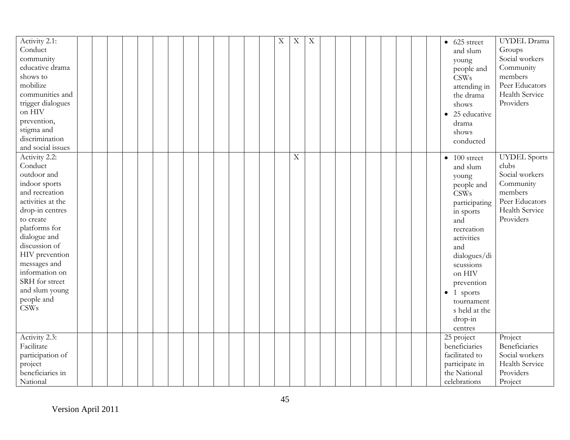| Activity 2.1:<br>$\mathbf X$<br>$\mathbf X$<br>$\mathbf X$<br>UYDEL Drama<br>$\bullet$ 625 street<br>Conduct<br>Groups<br>and slum<br>Social workers<br>community<br>young<br>educative drama<br>Community<br>people and<br>members<br>shows to<br><b>CSWs</b><br>mobilize<br>Peer Educators<br>attending in<br>communities and<br>Health Service<br>the drama<br>Providers<br>trigger dialogues<br>shows<br>on HIV<br>25 educative<br>prevention,<br>drama<br>stigma and<br>shows<br>discrimination<br>conducted<br>and social issues<br>Activity 2.2:<br>$\mathbf X$<br><b>UYDEL</b> Sports<br>100 street<br>$\bullet$<br>clubs<br>Conduct<br>and slum<br>Social workers<br>outdoor and<br>young<br>Community<br>indoor sports<br>people and<br>members<br>and recreation<br><b>CSWs</b><br>Peer Educators<br>activities at the<br>participating<br>Health Service<br>drop-in centres<br>in sports<br>Providers<br>to create<br>and |
|---------------------------------------------------------------------------------------------------------------------------------------------------------------------------------------------------------------------------------------------------------------------------------------------------------------------------------------------------------------------------------------------------------------------------------------------------------------------------------------------------------------------------------------------------------------------------------------------------------------------------------------------------------------------------------------------------------------------------------------------------------------------------------------------------------------------------------------------------------------------------------------------------------------------------------------|
|                                                                                                                                                                                                                                                                                                                                                                                                                                                                                                                                                                                                                                                                                                                                                                                                                                                                                                                                       |
|                                                                                                                                                                                                                                                                                                                                                                                                                                                                                                                                                                                                                                                                                                                                                                                                                                                                                                                                       |
|                                                                                                                                                                                                                                                                                                                                                                                                                                                                                                                                                                                                                                                                                                                                                                                                                                                                                                                                       |
|                                                                                                                                                                                                                                                                                                                                                                                                                                                                                                                                                                                                                                                                                                                                                                                                                                                                                                                                       |
|                                                                                                                                                                                                                                                                                                                                                                                                                                                                                                                                                                                                                                                                                                                                                                                                                                                                                                                                       |
|                                                                                                                                                                                                                                                                                                                                                                                                                                                                                                                                                                                                                                                                                                                                                                                                                                                                                                                                       |
|                                                                                                                                                                                                                                                                                                                                                                                                                                                                                                                                                                                                                                                                                                                                                                                                                                                                                                                                       |
|                                                                                                                                                                                                                                                                                                                                                                                                                                                                                                                                                                                                                                                                                                                                                                                                                                                                                                                                       |
|                                                                                                                                                                                                                                                                                                                                                                                                                                                                                                                                                                                                                                                                                                                                                                                                                                                                                                                                       |
|                                                                                                                                                                                                                                                                                                                                                                                                                                                                                                                                                                                                                                                                                                                                                                                                                                                                                                                                       |
|                                                                                                                                                                                                                                                                                                                                                                                                                                                                                                                                                                                                                                                                                                                                                                                                                                                                                                                                       |
|                                                                                                                                                                                                                                                                                                                                                                                                                                                                                                                                                                                                                                                                                                                                                                                                                                                                                                                                       |
|                                                                                                                                                                                                                                                                                                                                                                                                                                                                                                                                                                                                                                                                                                                                                                                                                                                                                                                                       |
|                                                                                                                                                                                                                                                                                                                                                                                                                                                                                                                                                                                                                                                                                                                                                                                                                                                                                                                                       |
|                                                                                                                                                                                                                                                                                                                                                                                                                                                                                                                                                                                                                                                                                                                                                                                                                                                                                                                                       |
|                                                                                                                                                                                                                                                                                                                                                                                                                                                                                                                                                                                                                                                                                                                                                                                                                                                                                                                                       |
|                                                                                                                                                                                                                                                                                                                                                                                                                                                                                                                                                                                                                                                                                                                                                                                                                                                                                                                                       |
|                                                                                                                                                                                                                                                                                                                                                                                                                                                                                                                                                                                                                                                                                                                                                                                                                                                                                                                                       |
|                                                                                                                                                                                                                                                                                                                                                                                                                                                                                                                                                                                                                                                                                                                                                                                                                                                                                                                                       |
|                                                                                                                                                                                                                                                                                                                                                                                                                                                                                                                                                                                                                                                                                                                                                                                                                                                                                                                                       |
| platforms for<br>recreation                                                                                                                                                                                                                                                                                                                                                                                                                                                                                                                                                                                                                                                                                                                                                                                                                                                                                                           |
| dialogue and<br>activities                                                                                                                                                                                                                                                                                                                                                                                                                                                                                                                                                                                                                                                                                                                                                                                                                                                                                                            |
| discussion of<br>and                                                                                                                                                                                                                                                                                                                                                                                                                                                                                                                                                                                                                                                                                                                                                                                                                                                                                                                  |
| HIV prevention<br>dialogues/di                                                                                                                                                                                                                                                                                                                                                                                                                                                                                                                                                                                                                                                                                                                                                                                                                                                                                                        |
| messages and<br>scussions                                                                                                                                                                                                                                                                                                                                                                                                                                                                                                                                                                                                                                                                                                                                                                                                                                                                                                             |
| information on<br>on HIV                                                                                                                                                                                                                                                                                                                                                                                                                                                                                                                                                                                                                                                                                                                                                                                                                                                                                                              |
| SRH for street<br>prevention                                                                                                                                                                                                                                                                                                                                                                                                                                                                                                                                                                                                                                                                                                                                                                                                                                                                                                          |
| and slum young<br>1 sports<br>$\bullet$                                                                                                                                                                                                                                                                                                                                                                                                                                                                                                                                                                                                                                                                                                                                                                                                                                                                                               |
| people and<br>tournament                                                                                                                                                                                                                                                                                                                                                                                                                                                                                                                                                                                                                                                                                                                                                                                                                                                                                                              |
| <b>CSWs</b><br>s held at the                                                                                                                                                                                                                                                                                                                                                                                                                                                                                                                                                                                                                                                                                                                                                                                                                                                                                                          |
| drop-in                                                                                                                                                                                                                                                                                                                                                                                                                                                                                                                                                                                                                                                                                                                                                                                                                                                                                                                               |
| centres                                                                                                                                                                                                                                                                                                                                                                                                                                                                                                                                                                                                                                                                                                                                                                                                                                                                                                                               |
| Activity 2.3:<br>Project<br>25 project                                                                                                                                                                                                                                                                                                                                                                                                                                                                                                                                                                                                                                                                                                                                                                                                                                                                                                |
| beneficiaries<br>Beneficiaries<br>Facilitate                                                                                                                                                                                                                                                                                                                                                                                                                                                                                                                                                                                                                                                                                                                                                                                                                                                                                          |
| facilitated to<br>Social workers<br>participation of                                                                                                                                                                                                                                                                                                                                                                                                                                                                                                                                                                                                                                                                                                                                                                                                                                                                                  |
| Health Service<br>participate in<br>project                                                                                                                                                                                                                                                                                                                                                                                                                                                                                                                                                                                                                                                                                                                                                                                                                                                                                           |
| beneficiaries in<br>the National<br>Providers                                                                                                                                                                                                                                                                                                                                                                                                                                                                                                                                                                                                                                                                                                                                                                                                                                                                                         |
| National<br>Project<br>celebrations                                                                                                                                                                                                                                                                                                                                                                                                                                                                                                                                                                                                                                                                                                                                                                                                                                                                                                   |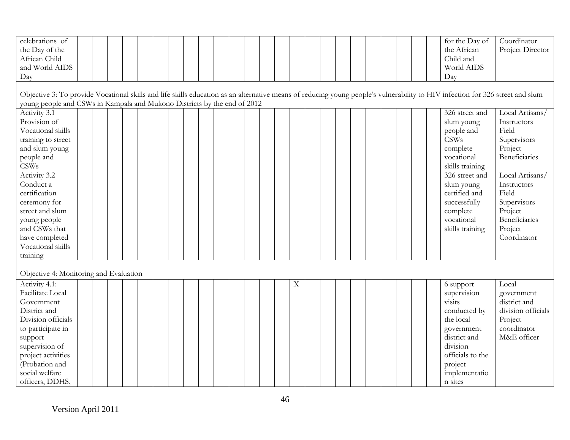| celebrations of                                                                                                                                                               |  |  |  |  |  |  |  |   |  |  |  |  | for the Day of   | Coordinator          |
|-------------------------------------------------------------------------------------------------------------------------------------------------------------------------------|--|--|--|--|--|--|--|---|--|--|--|--|------------------|----------------------|
| the Day of the                                                                                                                                                                |  |  |  |  |  |  |  |   |  |  |  |  | the African      | Project Director     |
| African Child                                                                                                                                                                 |  |  |  |  |  |  |  |   |  |  |  |  | Child and        |                      |
| and World AIDS                                                                                                                                                                |  |  |  |  |  |  |  |   |  |  |  |  | World AIDS       |                      |
| Day                                                                                                                                                                           |  |  |  |  |  |  |  |   |  |  |  |  | Day              |                      |
|                                                                                                                                                                               |  |  |  |  |  |  |  |   |  |  |  |  |                  |                      |
| Objective 3: To provide Vocational skills and life skills education as an alternative means of reducing young people's vulnerability to HIV infection for 326 street and slum |  |  |  |  |  |  |  |   |  |  |  |  |                  |                      |
| young people and CSWs in Kampala and Mukono Districts by the end of 2012                                                                                                      |  |  |  |  |  |  |  |   |  |  |  |  |                  |                      |
| Activity 3.1                                                                                                                                                                  |  |  |  |  |  |  |  |   |  |  |  |  | 326 street and   | Local Artisans/      |
| Provision of                                                                                                                                                                  |  |  |  |  |  |  |  |   |  |  |  |  | slum young       | Instructors          |
| Vocational skills                                                                                                                                                             |  |  |  |  |  |  |  |   |  |  |  |  | people and       | Field                |
| training to street                                                                                                                                                            |  |  |  |  |  |  |  |   |  |  |  |  | CSWs             | Supervisors          |
| and slum young                                                                                                                                                                |  |  |  |  |  |  |  |   |  |  |  |  | complete         | Project              |
| people and                                                                                                                                                                    |  |  |  |  |  |  |  |   |  |  |  |  | vocational       | Beneficiaries        |
| <b>CSWs</b>                                                                                                                                                                   |  |  |  |  |  |  |  |   |  |  |  |  | skills training  |                      |
| Activity 3.2                                                                                                                                                                  |  |  |  |  |  |  |  |   |  |  |  |  | 326 street and   | Local Artisans/      |
| Conduct a                                                                                                                                                                     |  |  |  |  |  |  |  |   |  |  |  |  | slum young       | Instructors          |
| certification                                                                                                                                                                 |  |  |  |  |  |  |  |   |  |  |  |  | certified and    | Field                |
| ceremony for                                                                                                                                                                  |  |  |  |  |  |  |  |   |  |  |  |  | successfully     | Supervisors          |
| street and slum                                                                                                                                                               |  |  |  |  |  |  |  |   |  |  |  |  | complete         | Project              |
| young people                                                                                                                                                                  |  |  |  |  |  |  |  |   |  |  |  |  | vocational       | <b>Beneficiaries</b> |
| and CSWs that                                                                                                                                                                 |  |  |  |  |  |  |  |   |  |  |  |  | skills training  | Project              |
| have completed                                                                                                                                                                |  |  |  |  |  |  |  |   |  |  |  |  |                  | Coordinator          |
| Vocational skills                                                                                                                                                             |  |  |  |  |  |  |  |   |  |  |  |  |                  |                      |
| training                                                                                                                                                                      |  |  |  |  |  |  |  |   |  |  |  |  |                  |                      |
|                                                                                                                                                                               |  |  |  |  |  |  |  |   |  |  |  |  |                  |                      |
| Objective 4: Monitoring and Evaluation                                                                                                                                        |  |  |  |  |  |  |  |   |  |  |  |  |                  |                      |
| Activity 4.1:                                                                                                                                                                 |  |  |  |  |  |  |  | X |  |  |  |  | 6 support        | Local                |
| Facilitate Local                                                                                                                                                              |  |  |  |  |  |  |  |   |  |  |  |  | supervision      | government           |
| Government                                                                                                                                                                    |  |  |  |  |  |  |  |   |  |  |  |  | visits           | district and         |
| District and                                                                                                                                                                  |  |  |  |  |  |  |  |   |  |  |  |  | conducted by     | division officials   |
| Division officials                                                                                                                                                            |  |  |  |  |  |  |  |   |  |  |  |  | the local        | Project              |
| to participate in                                                                                                                                                             |  |  |  |  |  |  |  |   |  |  |  |  | government       | coordinator          |
| support                                                                                                                                                                       |  |  |  |  |  |  |  |   |  |  |  |  | district and     | M&E officer          |
| supervision of                                                                                                                                                                |  |  |  |  |  |  |  |   |  |  |  |  | division         |                      |
| project activities                                                                                                                                                            |  |  |  |  |  |  |  |   |  |  |  |  | officials to the |                      |
| (Probation and                                                                                                                                                                |  |  |  |  |  |  |  |   |  |  |  |  | project          |                      |
| social welfare                                                                                                                                                                |  |  |  |  |  |  |  |   |  |  |  |  | implementatio    |                      |
| officers, DDHS,                                                                                                                                                               |  |  |  |  |  |  |  |   |  |  |  |  | n sites          |                      |
|                                                                                                                                                                               |  |  |  |  |  |  |  |   |  |  |  |  |                  |                      |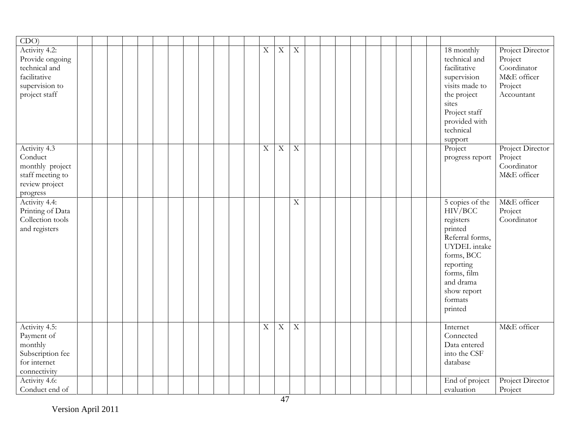| CDO                                                                                                  |  |  |  |  |  |  |                |                         |                         |  |  |  |  |                                                                                                                                                                                   |                                                                                    |
|------------------------------------------------------------------------------------------------------|--|--|--|--|--|--|----------------|-------------------------|-------------------------|--|--|--|--|-----------------------------------------------------------------------------------------------------------------------------------------------------------------------------------|------------------------------------------------------------------------------------|
| Activity 4.2:<br>Provide ongoing<br>technical and<br>facilitative<br>supervision to<br>project staff |  |  |  |  |  |  | $\mathbf X$    | $\mathbf X$             | $\overline{X}$          |  |  |  |  | 18 monthly<br>technical and<br>facilitative<br>supervision<br>visits made to<br>the project<br>sites<br>Project staff<br>provided with<br>technical<br>support                    | Project Director<br>Project<br>Coordinator<br>M&E officer<br>Project<br>Accountant |
| Activity 4.3<br>Conduct<br>monthly project<br>staff meeting to<br>review project<br>progress         |  |  |  |  |  |  | $\overline{X}$ | $\overline{X}$          | $\overline{\mathbf{X}}$ |  |  |  |  | Project<br>progress report                                                                                                                                                        | Project Director<br>Project<br>Coordinator<br>M&E officer                          |
| Activity 4.4:<br>Printing of Data<br>Collection tools<br>and registers                               |  |  |  |  |  |  |                |                         | $\mathbf X$             |  |  |  |  | 5 copies of the<br>HIV/BCC<br>registers<br>printed<br>Referral forms,<br>UYDEL intake<br>forms, BCC<br>reporting<br>forms, film<br>and drama<br>show report<br>formats<br>printed | M&E officer<br>Project<br>Coordinator                                              |
| Activity 4.5:<br>Payment of<br>monthly<br>Subscription fee<br>for internet<br>connectivity           |  |  |  |  |  |  | $\overline{X}$ | $\overline{\mathbf{X}}$ | $\overline{\mathbf{X}}$ |  |  |  |  | Internet<br>Connected<br>Data entered<br>into the CSF<br>database                                                                                                                 | M&E officer                                                                        |
| Activity 4.6:<br>Conduct end of                                                                      |  |  |  |  |  |  |                |                         |                         |  |  |  |  | End of project<br>evaluation                                                                                                                                                      | Project Director<br>Project                                                        |